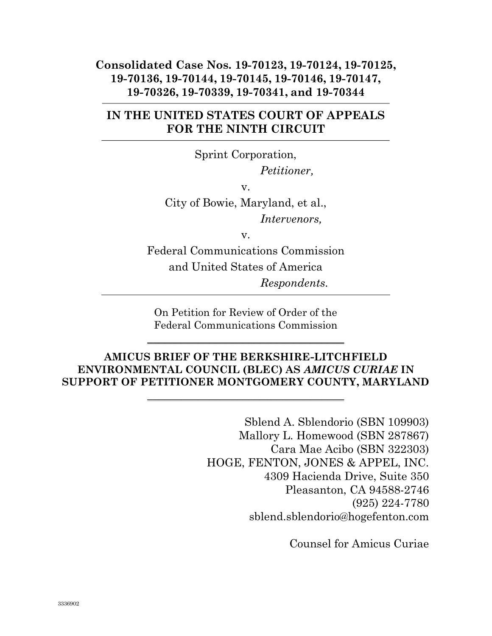#### Consolidated Case Nos. 19-70123, 19-70124, 19-70125, 19-70136, 19-70144, 19-70145, 19-70146, 19-70147, 19-70326, 19-70339, 19-70341, and 19-70344

### IN THE UNITED STATES COURT OF APPEALS FOR THE NINTH CIRCUIT

Sprint Corporation, Petitioner, v. City of Bowie, Maryland, et al.,

Intervenors,

v.

Federal Communications Commission and United States of America Respondents.

On Petition for Review of Order of the Federal Communications Commission

 $\_$ 

#### AMICUS BRIEF OF THE BERKSHIRE-LITCHFIELD ENVIRONMENTAL COUNCIL (BLEC) AS AMICUS CURIAE IN SUPPORT OF PETITIONER MONTGOMERY COUNTY, MARYLAND

 $\_$ 

Sblend A. Sblendorio (SBN 109903) Mallory L. Homewood (SBN 287867) Cara Mae Acibo (SBN 322303) HOGE, FENTON, JONES & APPEL, INC. 4309 Hacienda Drive, Suite 350 Pleasanton, CA 94588-2746 (925) 224-7780 sblend.sblendorio@hogefenton.com

Counsel for Amicus Curiae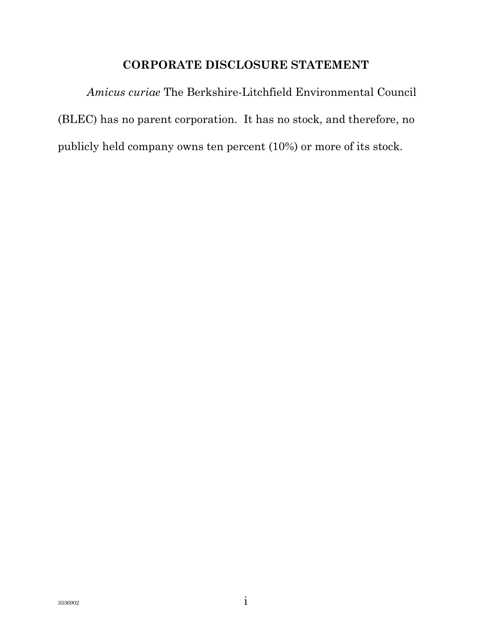### CORPORATE DISCLOSURE STATEMENT

Amicus curiae The Berkshire-Litchfield Environmental Council (BLEC) has no parent corporation. It has no stock, and therefore, no publicly held company owns ten percent (10%) or more of its stock.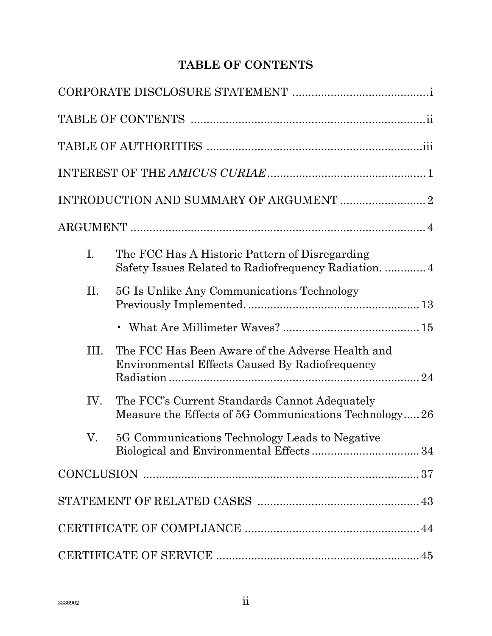# TABLE OF CONTENTS

| I.  | The FCC Has A Historic Pattern of Disregarding                                                         |  |  |
|-----|--------------------------------------------------------------------------------------------------------|--|--|
| Π.  | 5G Is Unlike Any Communications Technology                                                             |  |  |
|     |                                                                                                        |  |  |
| Ш.  | The FCC Has Been Aware of the Adverse Health and<br>Environmental Effects Caused By Radiofrequency     |  |  |
| IV. | The FCC's Current Standards Cannot Adequately<br>Measure the Effects of 5G Communications Technology26 |  |  |
| V.  | 5G Communications Technology Leads to Negative                                                         |  |  |
|     |                                                                                                        |  |  |
|     |                                                                                                        |  |  |
|     |                                                                                                        |  |  |
|     |                                                                                                        |  |  |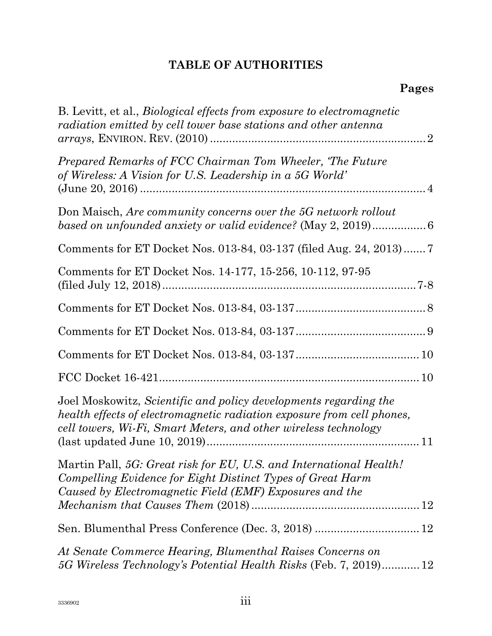# TABLE OF AUTHORITIES

| B. Levitt, et al., <i>Biological effects from exposure to electromagnetic</i><br>radiation emitted by cell tower base stations and other antenna                                                              |
|---------------------------------------------------------------------------------------------------------------------------------------------------------------------------------------------------------------|
| Prepared Remarks of FCC Chairman Tom Wheeler, 'The Future<br>of Wireless: A Vision for U.S. Leadership in a 5G World'                                                                                         |
| Don Maisch, Are community concerns over the 5G network rollout<br>based on unfounded anxiety or valid evidence? (May 2, 2019)6                                                                                |
| Comments for ET Docket Nos. 013-84, 03-137 (filed Aug. 24, 2013) 7                                                                                                                                            |
| Comments for ET Docket Nos. 14-177, 15-256, 10-112, 97-95                                                                                                                                                     |
|                                                                                                                                                                                                               |
|                                                                                                                                                                                                               |
|                                                                                                                                                                                                               |
|                                                                                                                                                                                                               |
| Joel Moskowitz, Scientific and policy developments regarding the<br>health effects of electromagnetic radiation exposure from cell phones,<br>cell towers, Wi-Fi, Smart Meters, and other wireless technology |
| Martin Pall, 5G: Great risk for EU, U.S. and International Health!<br>Compelling Evidence for Eight Distinct Types of Great Harm<br>Caused by Electromagnetic Field (EMF) Exposures and the                   |
|                                                                                                                                                                                                               |
| At Senate Commerce Hearing, Blumenthal Raises Concerns on<br>5G Wireless Technology's Potential Health Risks (Feb. 7, 2019) 12                                                                                |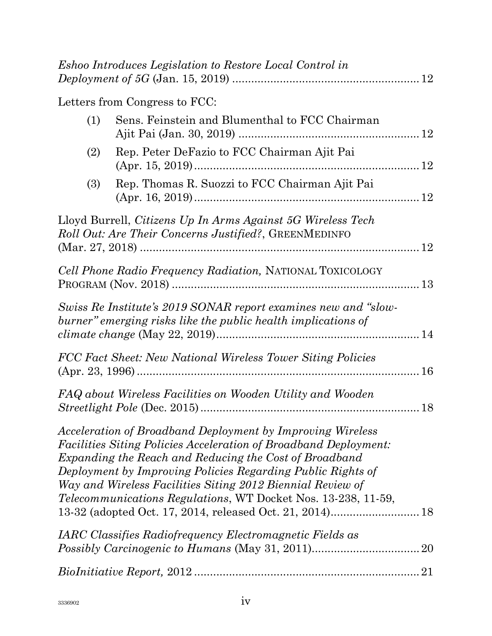|     | <i>Eshoo Introduces Legislation to Restore Local Control in</i>                                                                                                                                                                                                                                                                                                                                      |  |
|-----|------------------------------------------------------------------------------------------------------------------------------------------------------------------------------------------------------------------------------------------------------------------------------------------------------------------------------------------------------------------------------------------------------|--|
|     | Letters from Congress to FCC:                                                                                                                                                                                                                                                                                                                                                                        |  |
| (1) | Sens. Feinstein and Blumenthal to FCC Chairman                                                                                                                                                                                                                                                                                                                                                       |  |
| (2) | Rep. Peter DeFazio to FCC Chairman Ajit Pai                                                                                                                                                                                                                                                                                                                                                          |  |
| (3) | Rep. Thomas R. Suozzi to FCC Chairman Ajit Pai                                                                                                                                                                                                                                                                                                                                                       |  |
|     | Lloyd Burrell, Citizens Up In Arms Against 5G Wireless Tech<br><i>Roll Out: Are Their Concerns Justified?</i> , GREENMEDINFO                                                                                                                                                                                                                                                                         |  |
|     | Cell Phone Radio Frequency Radiation, NATIONAL TOXICOLOGY                                                                                                                                                                                                                                                                                                                                            |  |
|     | Swiss Re Institute's 2019 SONAR report examines new and "slow-<br>burner" emerging risks like the public health implications of                                                                                                                                                                                                                                                                      |  |
|     | FCC Fact Sheet: New National Wireless Tower Siting Policies                                                                                                                                                                                                                                                                                                                                          |  |
|     | FAQ about Wireless Facilities on Wooden Utility and Wooden                                                                                                                                                                                                                                                                                                                                           |  |
|     | Acceleration of Broadband Deployment by Improving Wireless<br><i>Facilities Siting Policies Acceleration of Broadband Deployment:</i><br>Expanding the Reach and Reducing the Cost of Broadband<br>Deployment by Improving Policies Regarding Public Rights of<br>Way and Wireless Facilities Siting 2012 Biennial Review of<br><i>Telecommunications Regulations,</i> WT Docket Nos. 13-238, 11-59, |  |
|     | IARC Classifies Radiofrequency Electromagnetic Fields as                                                                                                                                                                                                                                                                                                                                             |  |
|     |                                                                                                                                                                                                                                                                                                                                                                                                      |  |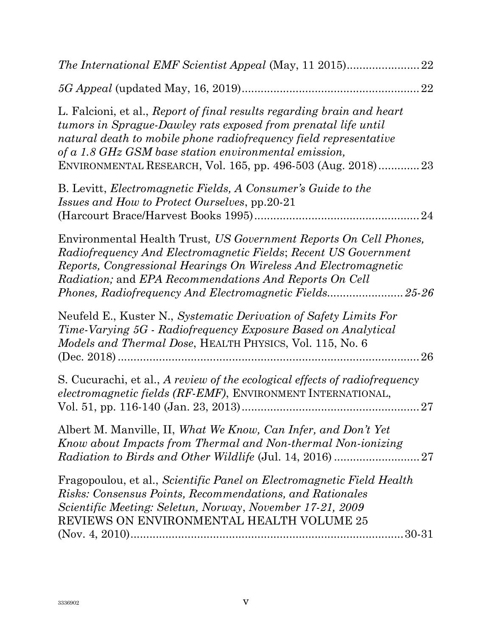| 22                                                                                                                                                                                                                                                                                                                                     |
|----------------------------------------------------------------------------------------------------------------------------------------------------------------------------------------------------------------------------------------------------------------------------------------------------------------------------------------|
|                                                                                                                                                                                                                                                                                                                                        |
| L. Falcioni, et al., Report of final results regarding brain and heart<br>tumors in Sprague-Dawley rats exposed from prenatal life until<br>natural death to mobile phone radiofrequency field representative<br>of a 1.8 GHz GSM base station environmental emission,<br>ENVIRONMENTAL RESEARCH, Vol. 165, pp. 496-503 (Aug. 2018) 23 |
| B. Levitt, <i>Electromagnetic Fields</i> , <i>A Consumer's Guide to the</i><br><i>Issues and How to Protect Ourselves, pp.20-21</i><br>24                                                                                                                                                                                              |
| Environmental Health Trust, US Government Reports On Cell Phones,<br>Radiofrequency And Electromagnetic Fields; Recent US Government<br>Reports, Congressional Hearings On Wireless And Electromagnetic<br><i>Radiation;</i> and <i>EPA Recommendations And Reports On Cell</i>                                                        |
| Neufeld E., Kuster N., Systematic Derivation of Safety Limits For<br>Time-Varying 5G - Radiofrequency Exposure Based on Analytical<br><i>Models and Thermal Dose, HEALTH PHYSICS, Vol. 115, No. 6</i><br>26                                                                                                                            |
| S. Cucurachi, et al., A review of the ecological effects of radiofrequency<br>electromagnetic fields (RF-EMF), ENVIRONMENT INTERNATIONAL,                                                                                                                                                                                              |
| Albert M. Manville, II, What We Know, Can Infer, and Don't Yet<br>Know about Impacts from Thermal and Non-thermal Non-ionizing                                                                                                                                                                                                         |
| Fragopoulou, et al., Scientific Panel on Electromagnetic Field Health<br>Risks: Consensus Points, Recommendations, and Rationales<br>Scientific Meeting: Seletun, Norway, November 17-21, 2009<br>REVIEWS ON ENVIRONMENTAL HEALTH VOLUME 25                                                                                            |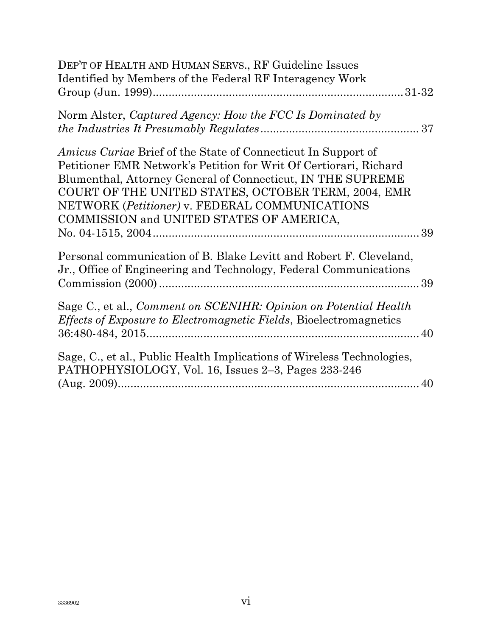| DEP'T OF HEALTH AND HUMAN SERVS., RF Guideline Issues<br>Identified by Members of the Federal RF Interagency Work                                                                                                                                                                                                                                             |
|---------------------------------------------------------------------------------------------------------------------------------------------------------------------------------------------------------------------------------------------------------------------------------------------------------------------------------------------------------------|
| Norm Alster, Captured Agency: How the FCC Is Dominated by                                                                                                                                                                                                                                                                                                     |
| <i>Amicus Curiae</i> Brief of the State of Connecticut In Support of<br>Petitioner EMR Network's Petition for Writ Of Certiorari, Richard<br>Blumenthal, Attorney General of Connecticut, IN THE SUPREME<br>COURT OF THE UNITED STATES, OCTOBER TERM, 2004, EMR<br>NETWORK (Petitioner) v. FEDERAL COMMUNICATIONS<br>COMMISSION and UNITED STATES OF AMERICA, |
| Personal communication of B. Blake Levitt and Robert F. Cleveland,<br>Jr., Office of Engineering and Technology, Federal Communications                                                                                                                                                                                                                       |
| Sage C., et al., Comment on SCENIHR: Opinion on Potential Health<br>Effects of Exposure to Electromagnetic Fields, Bioelectromagnetics                                                                                                                                                                                                                        |
| Sage, C., et al., Public Health Implications of Wireless Technologies,<br>PATHOPHYSIOLOGY, Vol. 16, Issues 2–3, Pages 233-246                                                                                                                                                                                                                                 |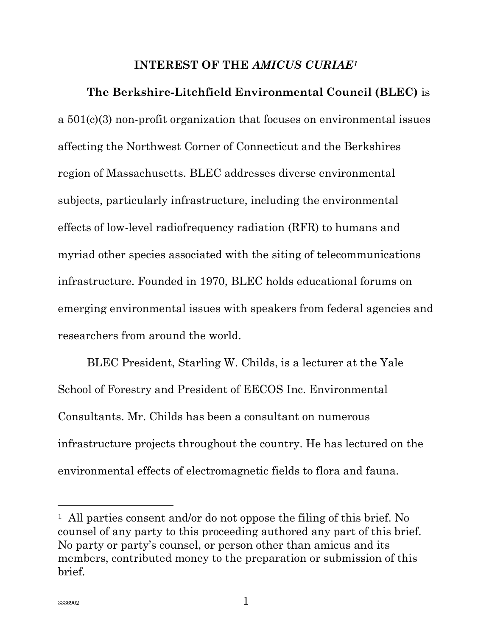#### INTEREST OF THE AMICUS CURIAE<sup>1</sup>

The Berkshire-Litchfield Environmental Council (BLEC) is a 501(c)(3) non-profit organization that focuses on environmental issues affecting the Northwest Corner of Connecticut and the Berkshires region of Massachusetts. BLEC addresses diverse environmental subjects, particularly infrastructure, including the environmental effects of low-level radiofrequency radiation (RFR) to humans and myriad other species associated with the siting of telecommunications infrastructure. Founded in 1970, BLEC holds educational forums on emerging environmental issues with speakers from federal agencies and researchers from around the world.

BLEC President, Starling W. Childs, is a lecturer at the Yale School of Forestry and President of EECOS Inc. Environmental Consultants. Mr. Childs has been a consultant on numerous infrastructure projects throughout the country. He has lectured on the environmental effects of electromagnetic fields to flora and fauna.

<sup>1</sup> All parties consent and/or do not oppose the filing of this brief. No counsel of any party to this proceeding authored any part of this brief. No party or party's counsel, or person other than amicus and its members, contributed money to the preparation or submission of this brief.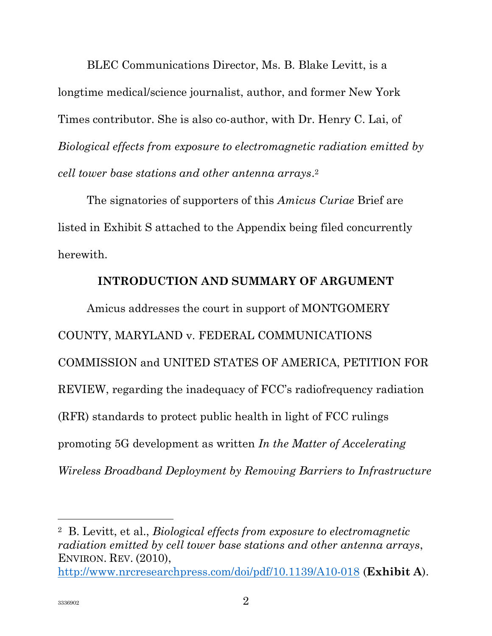BLEC Communications Director, Ms. B. Blake Levitt, is a longtime medical/science journalist, author, and former New York Times contributor. She is also co-author, with Dr. Henry C. Lai, of Biological effects from exposure to electromagnetic radiation emitted by cell tower base stations and other antenna arrays. 2

The signatories of supporters of this *Amicus Curiae* Brief are listed in Exhibit S attached to the Appendix being filed concurrently herewith.

#### INTRODUCTION AND SUMMARY OF ARGUMENT

Amicus addresses the court in support of MONTGOMERY COUNTY, MARYLAND v. FEDERAL COMMUNICATIONS COMMISSION and UNITED STATES OF AMERICA, PETITION FOR REVIEW, regarding the inadequacy of FCC's radiofrequency radiation (RFR) standards to protect public health in light of FCC rulings promoting 5G development as written In the Matter of Accelerating Wireless Broadband Deployment by Removing Barriers to Infrastructure

<sup>2</sup> B. Levitt, et al., Biological effects from exposure to electromagnetic radiation emitted by cell tower base stations and other antenna arrays, ENVIRON. REV. (2010),

http://www.nrcresearchpress.com/doi/pdf/10.1139/A10-018 (**Exhibit A**).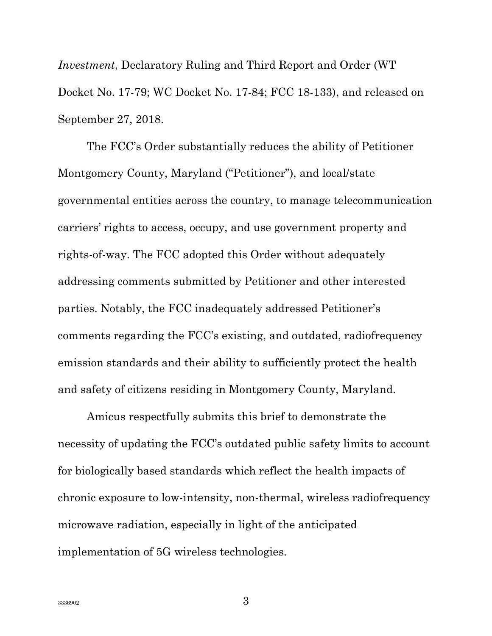Investment, Declaratory Ruling and Third Report and Order (WT Docket No. 17-79; WC Docket No. 17-84; FCC 18-133), and released on September 27, 2018.

The FCC's Order substantially reduces the ability of Petitioner Montgomery County, Maryland ("Petitioner"), and local/state governmental entities across the country, to manage telecommunication carriers' rights to access, occupy, and use government property and rights-of-way. The FCC adopted this Order without adequately addressing comments submitted by Petitioner and other interested parties. Notably, the FCC inadequately addressed Petitioner's comments regarding the FCC's existing, and outdated, radiofrequency emission standards and their ability to sufficiently protect the health and safety of citizens residing in Montgomery County, Maryland.

Amicus respectfully submits this brief to demonstrate the necessity of updating the FCC's outdated public safety limits to account for biologically based standards which reflect the health impacts of chronic exposure to low-intensity, non-thermal, wireless radiofrequency microwave radiation, especially in light of the anticipated implementation of 5G wireless technologies.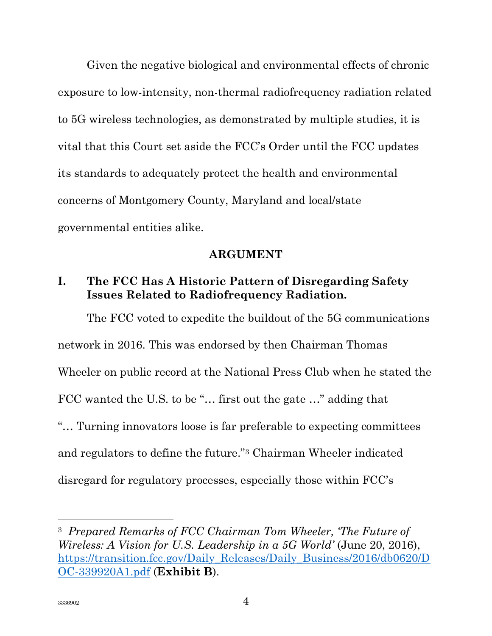Given the negative biological and environmental effects of chronic exposure to low-intensity, non-thermal radiofrequency radiation related to 5G wireless technologies, as demonstrated by multiple studies, it is vital that this Court set aside the FCC's Order until the FCC updates its standards to adequately protect the health and environmental concerns of Montgomery County, Maryland and local/state governmental entities alike.

#### ARGUMENT

# I. The FCC Has A Historic Pattern of Disregarding Safety Issues Related to Radiofrequency Radiation.

The FCC voted to expedite the buildout of the 5G communications network in 2016. This was endorsed by then Chairman Thomas Wheeler on public record at the National Press Club when he stated the FCC wanted the U.S. to be "... first out the gate ..." adding that "… Turning innovators loose is far preferable to expecting committees and regulators to define the future."3 Chairman Wheeler indicated disregard for regulatory processes, especially those within FCC's

<sup>3</sup> Prepared Remarks of FCC Chairman Tom Wheeler, 'The Future of Wireless: A Vision for U.S. Leadership in a 5G World' (June 20, 2016), https://transition.fcc.gov/Daily\_Releases/Daily\_Business/2016/db0620/D OC-339920A1.pdf (Exhibit B).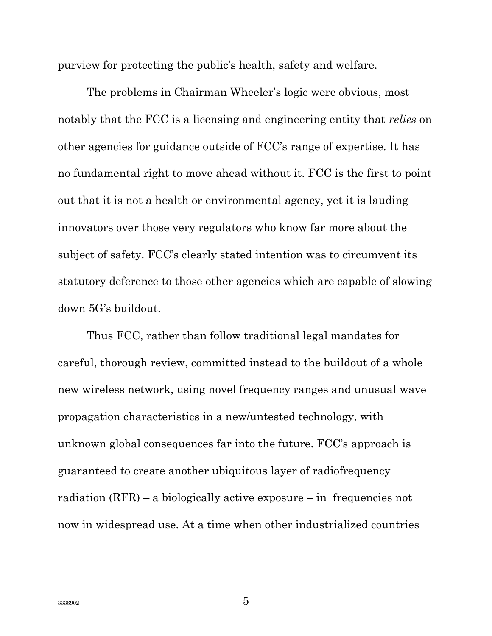purview for protecting the public's health, safety and welfare.

The problems in Chairman Wheeler's logic were obvious, most notably that the FCC is a licensing and engineering entity that relies on other agencies for guidance outside of FCC's range of expertise. It has no fundamental right to move ahead without it. FCC is the first to point out that it is not a health or environmental agency, yet it is lauding innovators over those very regulators who know far more about the subject of safety. FCC's clearly stated intention was to circumvent its statutory deference to those other agencies which are capable of slowing down 5G's buildout.

Thus FCC, rather than follow traditional legal mandates for careful, thorough review, committed instead to the buildout of a whole new wireless network, using novel frequency ranges and unusual wave propagation characteristics in a new/untested technology, with unknown global consequences far into the future. FCC's approach is guaranteed to create another ubiquitous layer of radiofrequency radiation  $(RFR)$  – a biologically active exposure – in frequencies not now in widespread use. At a time when other industrialized countries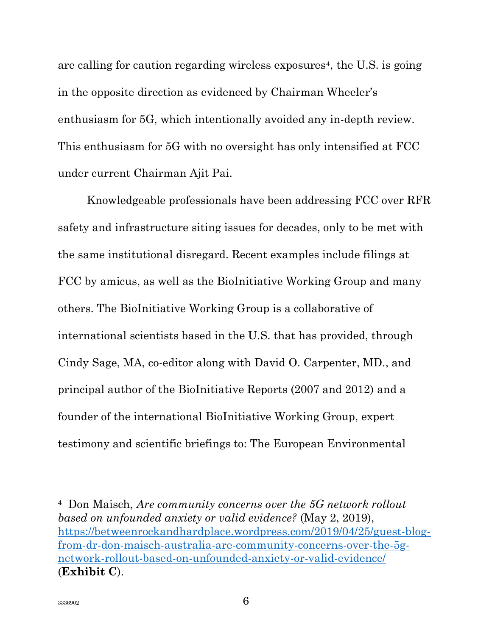are calling for caution regarding wireless exposures<sup>4</sup>, the U.S. is going in the opposite direction as evidenced by Chairman Wheeler's enthusiasm for 5G, which intentionally avoided any in-depth review. This enthusiasm for 5G with no oversight has only intensified at FCC under current Chairman Ajit Pai.

Knowledgeable professionals have been addressing FCC over RFR safety and infrastructure siting issues for decades, only to be met with the same institutional disregard. Recent examples include filings at FCC by amicus, as well as the BioInitiative Working Group and many others. The BioInitiative Working Group is a collaborative of international scientists based in the U.S. that has provided, through Cindy Sage, MA, co-editor along with David O. Carpenter, MD., and principal author of the BioInitiative Reports (2007 and 2012) and a founder of the international BioInitiative Working Group, expert testimony and scientific briefings to: The European Environmental

<sup>4</sup> Don Maisch, Are community concerns over the 5G network rollout based on unfounded anxiety or valid evidence? (May 2, 2019), https://betweenrockandhardplace.wordpress.com/2019/04/25/guest-blogfrom-dr-don-maisch-australia-are-community-concerns-over-the-5gnetwork-rollout-based-on-unfounded-anxiety-or-valid-evidence/ (Exhibit C).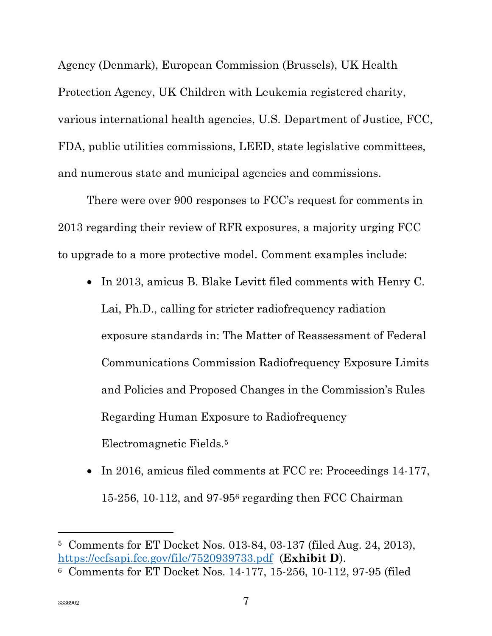Agency (Denmark), European Commission (Brussels), UK Health Protection Agency, UK Children with Leukemia registered charity, various international health agencies, U.S. Department of Justice, FCC, FDA, public utilities commissions, LEED, state legislative committees, and numerous state and municipal agencies and commissions.

There were over 900 responses to FCC's request for comments in 2013 regarding their review of RFR exposures, a majority urging FCC to upgrade to a more protective model. Comment examples include:

- In 2013, amicus B. Blake Levitt filed comments with Henry C. Lai, Ph.D., calling for stricter radiofrequency radiation exposure standards in: The Matter of Reassessment of Federal Communications Commission Radiofrequency Exposure Limits and Policies and Proposed Changes in the Commission's Rules Regarding Human Exposure to Radiofrequency Electromagnetic Fields.<sup>5</sup>
- In 2016, amicus filed comments at FCC re: Proceedings 14-177, 15-256, 10-112, and 97-956 regarding then FCC Chairman

l

<sup>5</sup> Comments for ET Docket Nos. 013-84, 03-137 (filed Aug. 24, 2013), https://ecfsapi.fcc.gov/file/7520939733.pdf (Exhibit D).

<sup>6</sup> Comments for ET Docket Nos. 14-177, 15-256, 10-112, 97-95 (filed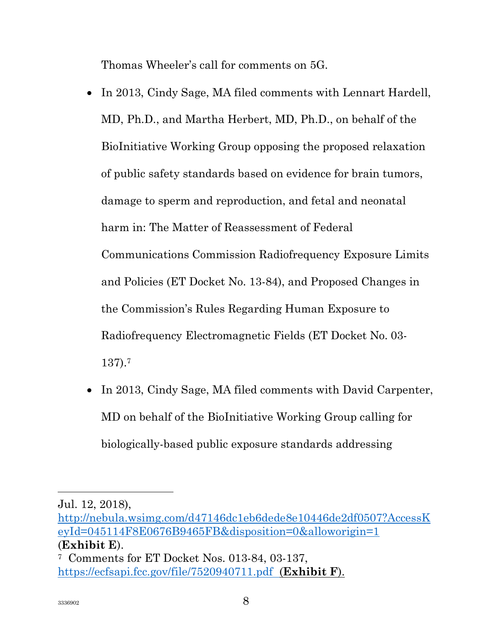Thomas Wheeler's call for comments on 5G.

- In 2013, Cindy Sage, MA filed comments with Lennart Hardell, MD, Ph.D., and Martha Herbert, MD, Ph.D., on behalf of the BioInitiative Working Group opposing the proposed relaxation of public safety standards based on evidence for brain tumors, damage to sperm and reproduction, and fetal and neonatal harm in: The Matter of Reassessment of Federal Communications Commission Radiofrequency Exposure Limits and Policies (ET Docket No. 13-84), and Proposed Changes in the Commission's Rules Regarding Human Exposure to Radiofrequency Electromagnetic Fields (ET Docket No. 03- 137).<sup>7</sup>
- In 2013, Cindy Sage, MA filed comments with David Carpenter, MD on behalf of the BioInitiative Working Group calling for biologically-based public exposure standards addressing

Jul. 12, 2018),

http://nebula.wsimg.com/d47146dc1eb6dede8e10446de2df0507?AccessK eyId=045114F8E0676B9465FB&disposition=0&alloworigin=1 (Exhibit E).

<sup>7</sup> Comments for ET Docket Nos. 013-84, 03-137, https://ecfsapi.fcc.gov/file/7520940711.pdf (**Exhibit F**).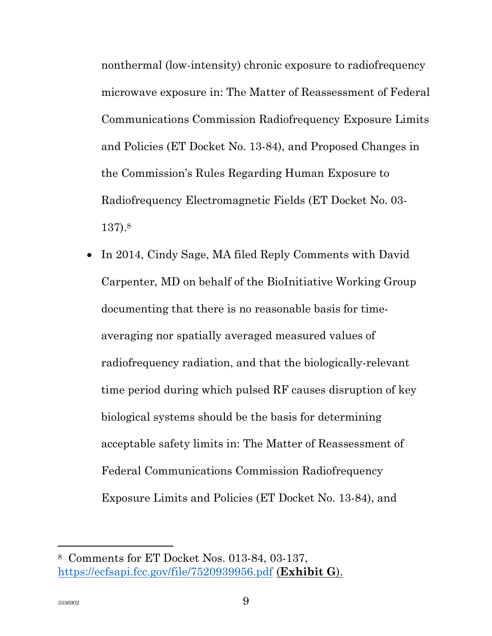nonthermal (low-intensity) chronic exposure to radiofrequency microwave exposure in: The Matter of Reassessment of Federal Communications Commission Radiofrequency Exposure Limits and Policies (ET Docket No. 13-84), and Proposed Changes in the Commission's Rules Regarding Human Exposure to Radiofrequency Electromagnetic Fields (ET Docket No. 03- 137).<sup>8</sup>

• In 2014, Cindy Sage, MA filed Reply Comments with David Carpenter, MD on behalf of the BioInitiative Working Group documenting that there is no reasonable basis for timeaveraging nor spatially averaged measured values of radiofrequency radiation, and that the biologically-relevant time period during which pulsed RF causes disruption of key biological systems should be the basis for determining acceptable safety limits in: The Matter of Reassessment of Federal Communications Commission Radiofrequency Exposure Limits and Policies (ET Docket No. 13-84), and

<sup>8</sup> Comments for ET Docket Nos. 013-84, 03-137, https://ecfsapi.fcc.gov/file/7520939956.pdf (**Exhibit G**).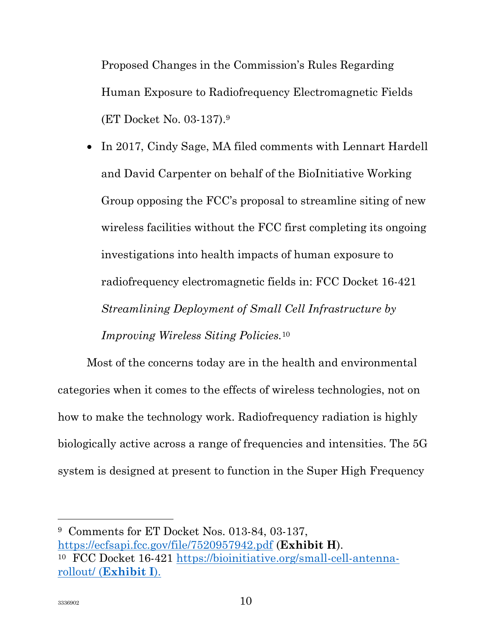Proposed Changes in the Commission's Rules Regarding Human Exposure to Radiofrequency Electromagnetic Fields (ET Docket No. 03-137).<sup>9</sup>

 In 2017, Cindy Sage, MA filed comments with Lennart Hardell and David Carpenter on behalf of the BioInitiative Working Group opposing the FCC's proposal to streamline siting of new wireless facilities without the FCC first completing its ongoing investigations into health impacts of human exposure to radiofrequency electromagnetic fields in: FCC Docket 16-421 Streamlining Deployment of Small Cell Infrastructure by Improving Wireless Siting Policies.<sup>10</sup>

Most of the concerns today are in the health and environmental categories when it comes to the effects of wireless technologies, not on how to make the technology work. Radiofrequency radiation is highly biologically active across a range of frequencies and intensities. The 5G system is designed at present to function in the Super High Frequency

<sup>9</sup> Comments for ET Docket Nos. 013-84, 03-137, https://ecfsapi.fcc.gov/file/7520957942.pdf (Exhibit H). 10 FCC Docket 16-421 https://bioinitiative.org/small-cell-antennarollout/ (Exhibit I).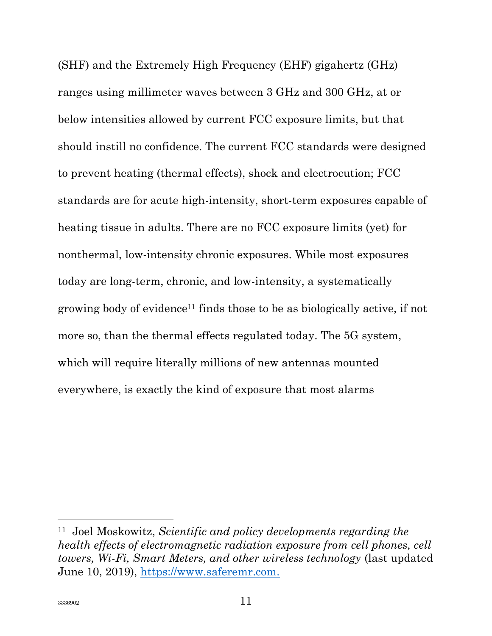(SHF) and the Extremely High Frequency (EHF) gigahertz (GHz) ranges using millimeter waves between 3 GHz and 300 GHz, at or below intensities allowed by current FCC exposure limits, but that should instill no confidence. The current FCC standards were designed to prevent heating (thermal effects), shock and electrocution; FCC standards are for acute high-intensity, short-term exposures capable of heating tissue in adults. There are no FCC exposure limits (yet) for nonthermal, low-intensity chronic exposures. While most exposures today are long-term, chronic, and low-intensity, a systematically growing body of evidence11 finds those to be as biologically active, if not more so, than the thermal effects regulated today. The 5G system, which will require literally millions of new antennas mounted everywhere, is exactly the kind of exposure that most alarms

<sup>11</sup> Joel Moskowitz, Scientific and policy developments regarding the health effects of electromagnetic radiation exposure from cell phones, cell towers, Wi-Fi, Smart Meters, and other wireless technology (last updated June 10, 2019), https://www.saferemr.com.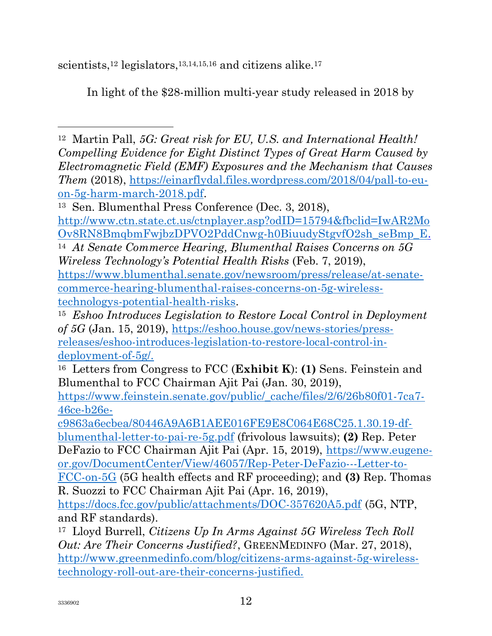scientists,<sup>12</sup> legislators,<sup>13,14,15,16</sup> and citizens alike.<sup>17</sup>

In light of the \$28-million multi-year study released in 2018 by

 $\overline{a}$ <sup>12</sup> Martin Pall, 5G: Great risk for EU, U.S. and International Health! Compelling Evidence for Eight Distinct Types of Great Harm Caused by Electromagnetic Field (EMF) Exposures and the Mechanism that Causes Them (2018), https://einarflydal.files.wordpress.com/2018/04/pall-to-euon-5g-harm-march-2018.pdf.

<sup>14</sup> At Senate Commerce Hearing, Blumenthal Raises Concerns on 5G Wireless Technology's Potential Health Risks (Feb. 7, 2019),

https://www.blumenthal.senate.gov/newsroom/press/release/at-senatecommerce-hearing-blumenthal-raises-concerns-on-5g-wirelesstechnologys-potential-health-risks.

<sup>16</sup> Letters from Congress to FCC (**Exhibit K**): (1) Sens. Feinstein and Blumenthal to FCC Chairman Ajit Pai (Jan. 30, 2019),

https://www.feinstein.senate.gov/public/\_cache/files/2/6/26b80f01-7ca7- 46ce-b26e-

c9863a6ecbea/80446A9A6B1AEE016FE9E8C064E68C25.1.30.19-dfblumenthal-letter-to-pai-re-5g.pdf (frivolous lawsuits); (2) Rep. Peter DeFazio to FCC Chairman Ajit Pai (Apr. 15, 2019), https://www.eugeneor.gov/DocumentCenter/View/46057/Rep-Peter-DeFazio---Letter-to-

FCC-on-5G (5G health effects and RF proceeding); and (3) Rep. Thomas R. Suozzi to FCC Chairman Ajit Pai (Apr. 16, 2019),

https://docs.fcc.gov/public/attachments/DOC-357620A5.pdf (5G, NTP, and RF standards).

<sup>17</sup> Lloyd Burrell, Citizens Up In Arms Against 5G Wireless Tech Roll Out: Are Their Concerns Justified?, GREENMEDINFO (Mar. 27, 2018), http://www.greenmedinfo.com/blog/citizens-arms-against-5g-wirelesstechnology-roll-out-are-their-concerns-justified.

<sup>13</sup> Sen. Blumenthal Press Conference (Dec. 3, 2018), http://www.ctn.state.ct.us/ctnplayer.asp?odID=15794&fbclid=IwAR2Mo Ov8RN8BmqbmFwjbzDPVO2PddCnwg-h0BiuudyStgvfO2sh\_seBmp\_E.

<sup>15</sup> Eshoo Introduces Legislation to Restore Local Control in Deployment of 5G (Jan. 15, 2019), https://eshoo.house.gov/news-stories/pressreleases/eshoo-introduces-legislation-to-restore-local-control-indeployment-of-5g/.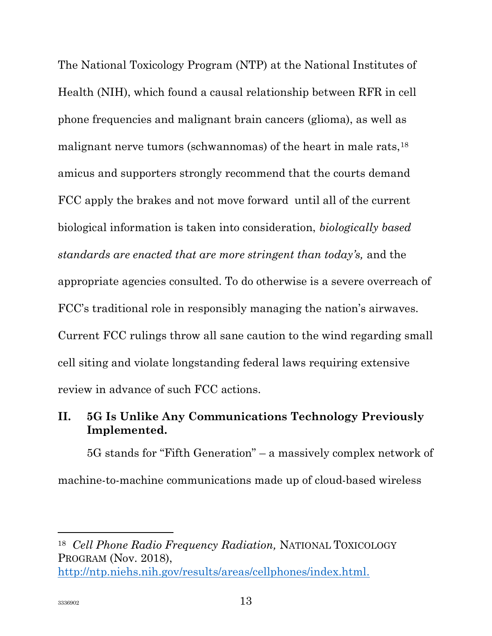The National Toxicology Program (NTP) at the National Institutes of Health (NIH), which found a causal relationship between RFR in cell phone frequencies and malignant brain cancers (glioma), as well as malignant nerve tumors (schwannomas) of the heart in male rats, <sup>18</sup> amicus and supporters strongly recommend that the courts demand FCC apply the brakes and not move forward until all of the current biological information is taken into consideration, biologically based standards are enacted that are more stringent than today's, and the appropriate agencies consulted. To do otherwise is a severe overreach of FCC's traditional role in responsibly managing the nation's airwaves. Current FCC rulings throw all sane caution to the wind regarding small cell siting and violate longstanding federal laws requiring extensive review in advance of such FCC actions.

### II. 5G Is Unlike Any Communications Technology Previously Implemented.

5G stands for "Fifth Generation" – a massively complex network of machine-to-machine communications made up of cloud-based wireless

<sup>18</sup> Cell Phone Radio Frequency Radiation, NATIONAL TOXICOLOGY PROGRAM (Nov. 2018), http://ntp.niehs.nih.gov/results/areas/cellphones/index.html.

l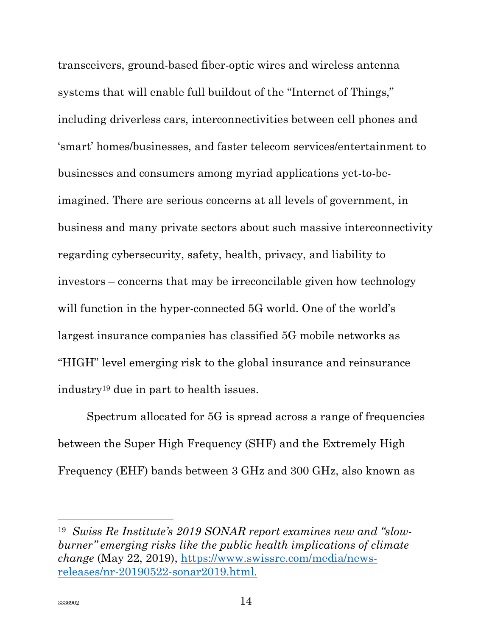transceivers, ground-based fiber-optic wires and wireless antenna systems that will enable full buildout of the "Internet of Things," including driverless cars, interconnectivities between cell phones and 'smart' homes/businesses, and faster telecom services/entertainment to businesses and consumers among myriad applications yet-to-beimagined. There are serious concerns at all levels of government, in business and many private sectors about such massive interconnectivity regarding cybersecurity, safety, health, privacy, and liability to investors – concerns that may be irreconcilable given how technology will function in the hyper-connected 5G world. One of the world's largest insurance companies has classified 5G mobile networks as "HIGH" level emerging risk to the global insurance and reinsurance industry19 due in part to health issues.

Spectrum allocated for 5G is spread across a range of frequencies between the Super High Frequency (SHF) and the Extremely High Frequency (EHF) bands between 3 GHz and 300 GHz, also known as

<sup>19</sup> Swiss Re Institute's 2019 SONAR report examines new and "slowburner" emerging risks like the public health implications of climate change (May 22, 2019), https://www.swissre.com/media/newsreleases/nr-20190522-sonar2019.html.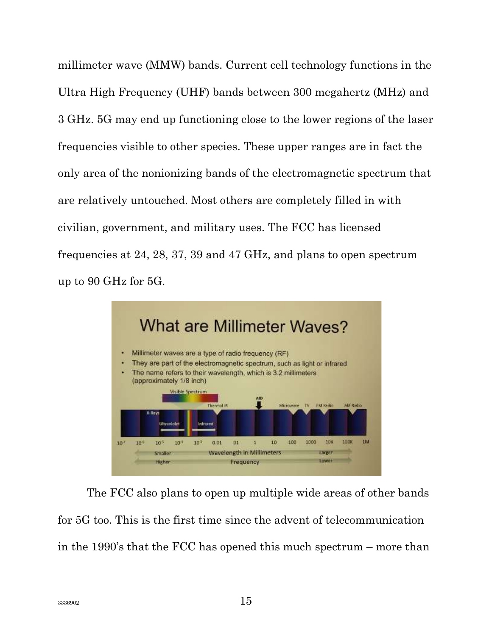millimeter wave (MMW) bands. Current cell technology functions in the Ultra High Frequency (UHF) bands between 300 megahertz (MHz) and 3 GHz. 5G may end up functioning close to the lower regions of the laser frequencies visible to other species. These upper ranges are in fact the only area of the nonionizing bands of the electromagnetic spectrum that are relatively untouched. Most others are completely filled in with civilian, government, and military uses. The FCC has licensed frequencies at 24, 28, 37, 39 and 47 GHz, and plans to open spectrum up to 90 GHz for 5G.



The FCC also plans to open up multiple wide areas of other bands for 5G too. This is the first time since the advent of telecommunication in the 1990's that the FCC has opened this much spectrum – more than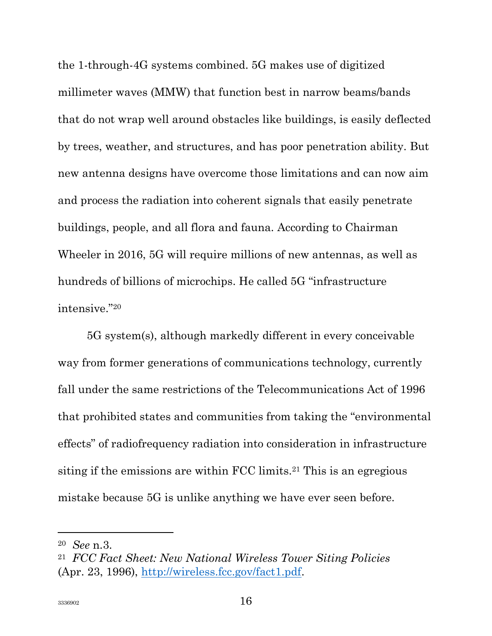the 1-through-4G systems combined. 5G makes use of digitized millimeter waves (MMW) that function best in narrow beams/bands that do not wrap well around obstacles like buildings, is easily deflected by trees, weather, and structures, and has poor penetration ability. But new antenna designs have overcome those limitations and can now aim and process the radiation into coherent signals that easily penetrate buildings, people, and all flora and fauna. According to Chairman Wheeler in 2016, 5G will require millions of new antennas, as well as hundreds of billions of microchips. He called 5G "infrastructure intensive."<sup>20</sup>

5G system(s), although markedly different in every conceivable way from former generations of communications technology, currently fall under the same restrictions of the Telecommunications Act of 1996 that prohibited states and communities from taking the "environmental effects" of radiofrequency radiation into consideration in infrastructure siting if the emissions are within FCC limits.21 This is an egregious mistake because 5G is unlike anything we have ever seen before.

l

<sup>20</sup> See n.3.

<sup>21</sup> FCC Fact Sheet: New National Wireless Tower Siting Policies (Apr. 23, 1996), http://wireless.fcc.gov/fact1.pdf.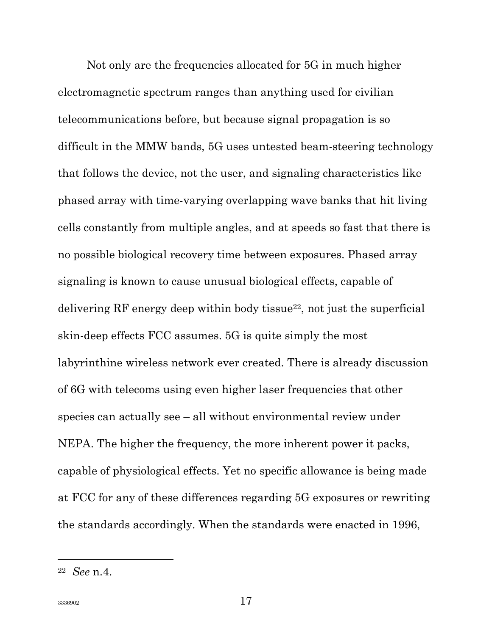Not only are the frequencies allocated for 5G in much higher electromagnetic spectrum ranges than anything used for civilian telecommunications before, but because signal propagation is so difficult in the MMW bands, 5G uses untested beam-steering technology that follows the device, not the user, and signaling characteristics like phased array with time-varying overlapping wave banks that hit living cells constantly from multiple angles, and at speeds so fast that there is no possible biological recovery time between exposures. Phased array signaling is known to cause unusual biological effects, capable of delivering RF energy deep within body tissue22, not just the superficial skin-deep effects FCC assumes. 5G is quite simply the most labyrinthine wireless network ever created. There is already discussion of 6G with telecoms using even higher laser frequencies that other species can actually see – all without environmental review under NEPA. The higher the frequency, the more inherent power it packs, capable of physiological effects. Yet no specific allowance is being made at FCC for any of these differences regarding 5G exposures or rewriting the standards accordingly. When the standards were enacted in 1996,

<sup>22</sup> See n.4.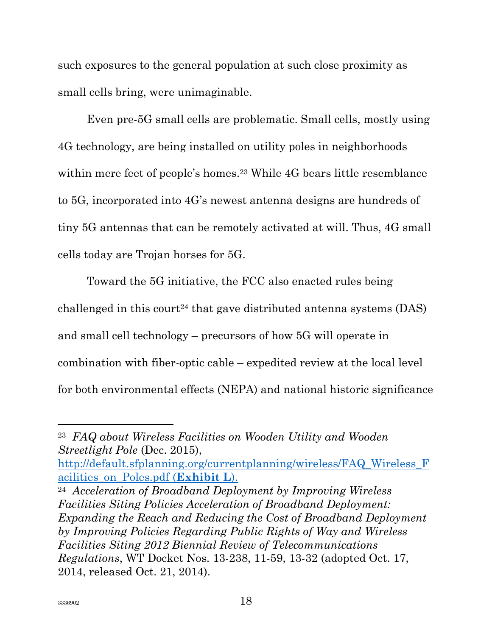such exposures to the general population at such close proximity as small cells bring, were unimaginable.

Even pre-5G small cells are problematic. Small cells, mostly using 4G technology, are being installed on utility poles in neighborhoods within mere feet of people's homes.<sup>23</sup> While 4G bears little resemblance to 5G, incorporated into 4G's newest antenna designs are hundreds of tiny 5G antennas that can be remotely activated at will. Thus, 4G small cells today are Trojan horses for 5G.

Toward the 5G initiative, the FCC also enacted rules being challenged in this court<sup>24</sup> that gave distributed antenna systems  $(DAS)$ and small cell technology – precursors of how 5G will operate in combination with fiber-optic cable – expedited review at the local level for both environmental effects (NEPA) and national historic significance

http://default.sfplanning.org/currentplanning/wireless/FAQ\_Wireless\_F acilities\_on\_Poles.pdf (Exhibit L).

l

<sup>23</sup> FAQ about Wireless Facilities on Wooden Utility and Wooden Streetlight Pole (Dec. 2015),

<sup>24</sup> Acceleration of Broadband Deployment by Improving Wireless Facilities Siting Policies Acceleration of Broadband Deployment: Expanding the Reach and Reducing the Cost of Broadband Deployment by Improving Policies Regarding Public Rights of Way and Wireless Facilities Siting 2012 Biennial Review of Telecommunications Regulations, WT Docket Nos. 13-238, 11-59, 13-32 (adopted Oct. 17, 2014, released Oct. 21, 2014).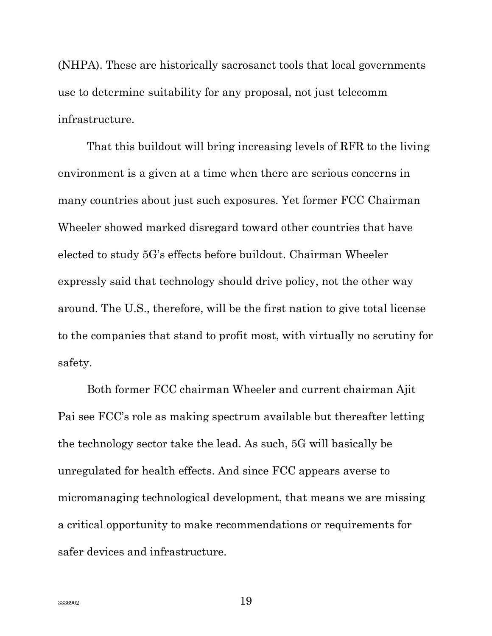(NHPA). These are historically sacrosanct tools that local governments use to determine suitability for any proposal, not just telecomm infrastructure.

That this buildout will bring increasing levels of RFR to the living environment is a given at a time when there are serious concerns in many countries about just such exposures. Yet former FCC Chairman Wheeler showed marked disregard toward other countries that have elected to study 5G's effects before buildout. Chairman Wheeler expressly said that technology should drive policy, not the other way around. The U.S., therefore, will be the first nation to give total license to the companies that stand to profit most, with virtually no scrutiny for safety.

Both former FCC chairman Wheeler and current chairman Ajit Pai see FCC's role as making spectrum available but thereafter letting the technology sector take the lead. As such, 5G will basically be unregulated for health effects. And since FCC appears averse to micromanaging technological development, that means we are missing a critical opportunity to make recommendations or requirements for safer devices and infrastructure.

3336902  $19$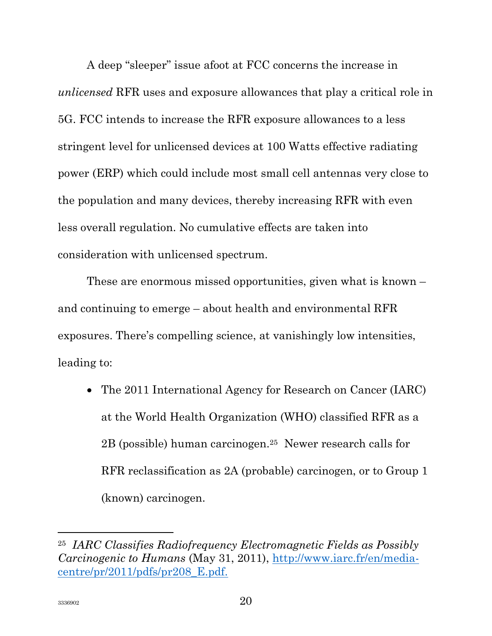A deep "sleeper" issue afoot at FCC concerns the increase in unlicensed RFR uses and exposure allowances that play a critical role in 5G. FCC intends to increase the RFR exposure allowances to a less stringent level for unlicensed devices at 100 Watts effective radiating power (ERP) which could include most small cell antennas very close to the population and many devices, thereby increasing RFR with even less overall regulation. No cumulative effects are taken into consideration with unlicensed spectrum.

These are enormous missed opportunities, given what is known – and continuing to emerge – about health and environmental RFR exposures. There's compelling science, at vanishingly low intensities, leading to:

• The 2011 International Agency for Research on Cancer (IARC) at the World Health Organization (WHO) classified RFR as a 2B (possible) human carcinogen.25 Newer research calls for RFR reclassification as 2A (probable) carcinogen, or to Group 1 (known) carcinogen.

l

<sup>25</sup> IARC Classifies Radiofrequency Electromagnetic Fields as Possibly Carcinogenic to Humans (May 31, 2011), http://www.iarc.fr/en/mediacentre/pr/2011/pdfs/pr208\_E.pdf.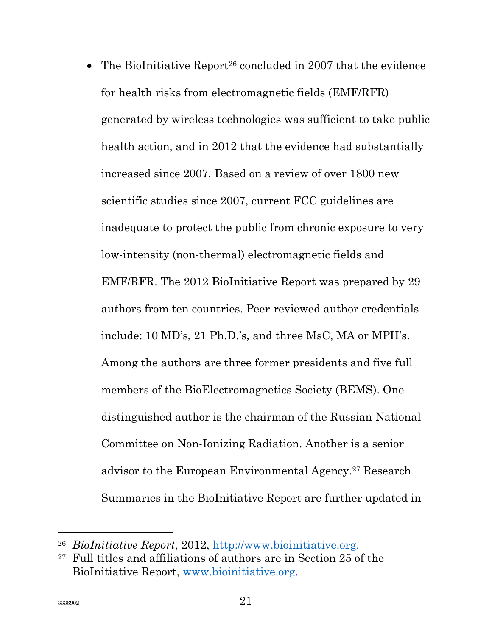• The BioInitiative Report<sup>26</sup> concluded in 2007 that the evidence for health risks from electromagnetic fields (EMF/RFR) generated by wireless technologies was sufficient to take public health action, and in 2012 that the evidence had substantially increased since 2007. Based on a review of over 1800 new scientific studies since 2007, current FCC guidelines are inadequate to protect the public from chronic exposure to very low-intensity (non-thermal) electromagnetic fields and EMF/RFR. The 2012 BioInitiative Report was prepared by 29 authors from ten countries. Peer-reviewed author credentials include: 10 MD's, 21 Ph.D.'s, and three MsC, MA or MPH's. Among the authors are three former presidents and five full members of the BioElectromagnetics Society (BEMS). One distinguished author is the chairman of the Russian National Committee on Non-Ionizing Radiation. Another is a senior advisor to the European Environmental Agency.27 Research Summaries in the BioInitiative Report are further updated in

l

<sup>26</sup> BioInitiative Report, 2012, http://www.bioinitiative.org.

<sup>27</sup> Full titles and affiliations of authors are in Section 25 of the BioInitiative Report, www.bioinitiative.org.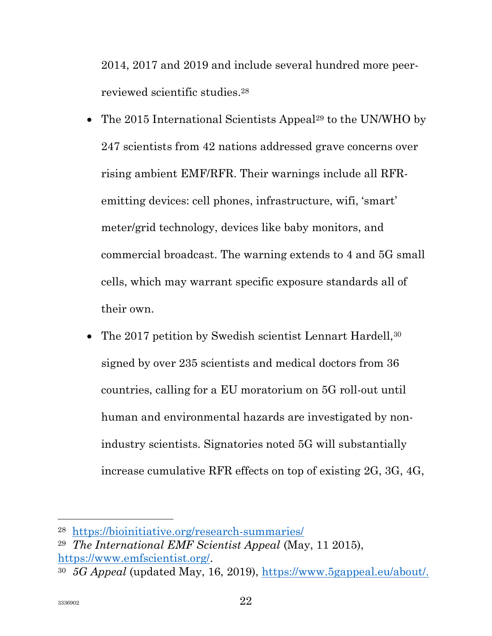2014, 2017 and 2019 and include several hundred more peerreviewed scientific studies.<sup>28</sup>

- The 2015 International Scientists Appeal<sup>29</sup> to the UN/WHO by 247 scientists from 42 nations addressed grave concerns over rising ambient EMF/RFR. Their warnings include all RFRemitting devices: cell phones, infrastructure, wifi, 'smart' meter/grid technology, devices like baby monitors, and commercial broadcast. The warning extends to 4 and 5G small cells, which may warrant specific exposure standards all of their own.
- The 2017 petition by Swedish scientist Lennart Hardell,<sup>30</sup> signed by over 235 scientists and medical doctors from 36 countries, calling for a EU moratorium on 5G roll-out until human and environmental hazards are investigated by nonindustry scientists. Signatories noted 5G will substantially increase cumulative RFR effects on top of existing 2G, 3G, 4G,

<sup>28</sup> https://bioinitiative.org/research-summaries/

<sup>29</sup> The International EMF Scientist Appeal (May, 11 2015), https://www.emfscientist.org/.

<sup>30</sup> 5G Appeal (updated May, 16, 2019), https://www.5gappeal.eu/about/.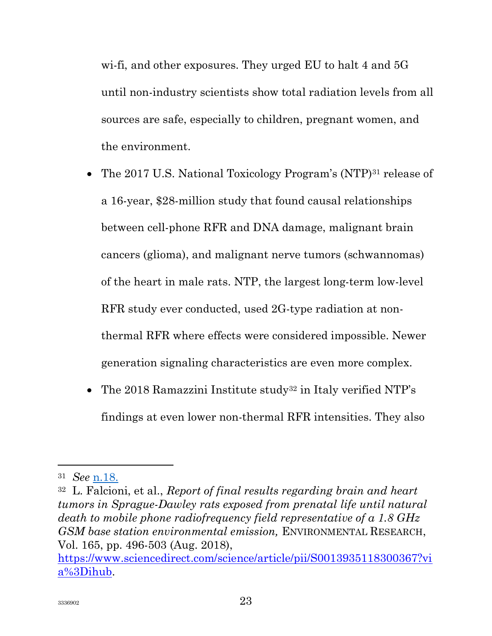wi-fi, and other exposures. They urged EU to halt 4 and 5G until non-industry scientists show total radiation levels from all sources are safe, especially to children, pregnant women, and the environment.

- The 2017 U.S. National Toxicology Program's (NTP)<sup>31</sup> release of a 16-year, \$28-million study that found causal relationships between cell-phone RFR and DNA damage, malignant brain cancers (glioma), and malignant nerve tumors (schwannomas) of the heart in male rats. NTP, the largest long-term low-level RFR study ever conducted, used 2G-type radiation at nonthermal RFR where effects were considered impossible. Newer generation signaling characteristics are even more complex.
- The 2018 Ramazzini Institute study<sup>32</sup> in Italy verified NTP's findings at even lower non-thermal RFR intensities. They also

<sup>31</sup> See n.18.

 $32$  L. Falcioni, et al., *Report of final results regarding brain and heart* tumors in Sprague-Dawley rats exposed from prenatal life until natural death to mobile phone radiofrequency field representative of a 1.8 GHz GSM base station environmental emission, ENVIRONMENTAL RESEARCH, Vol. 165, pp. 496-503 (Aug. 2018),

https://www.sciencedirect.com/science/article/pii/S0013935118300367?vi a%3Dihub.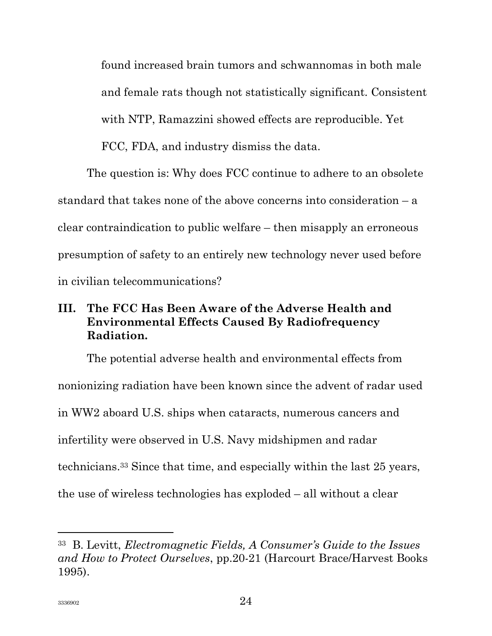found increased brain tumors and schwannomas in both male and female rats though not statistically significant. Consistent with NTP, Ramazzini showed effects are reproducible. Yet FCC, FDA, and industry dismiss the data.

The question is: Why does FCC continue to adhere to an obsolete standard that takes none of the above concerns into consideration – a clear contraindication to public welfare – then misapply an erroneous presumption of safety to an entirely new technology never used before in civilian telecommunications?

# III. The FCC Has Been Aware of the Adverse Health and Environmental Effects Caused By Radiofrequency Radiation.

The potential adverse health and environmental effects from nonionizing radiation have been known since the advent of radar used in WW2 aboard U.S. ships when cataracts, numerous cancers and infertility were observed in U.S. Navy midshipmen and radar technicians.33 Since that time, and especially within the last 25 years, the use of wireless technologies has exploded – all without a clear

l

<sup>33</sup> B. Levitt, Electromagnetic Fields, A Consumer's Guide to the Issues and How to Protect Ourselves, pp.20-21 (Harcourt Brace/Harvest Books 1995).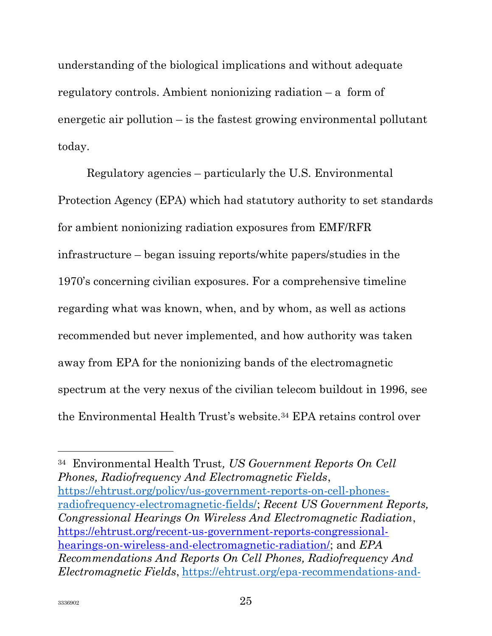understanding of the biological implications and without adequate regulatory controls. Ambient nonionizing radiation – a form of energetic air pollution – is the fastest growing environmental pollutant today.

Regulatory agencies – particularly the U.S. Environmental Protection Agency (EPA) which had statutory authority to set standards for ambient nonionizing radiation exposures from EMF/RFR infrastructure – began issuing reports/white papers/studies in the 1970's concerning civilian exposures. For a comprehensive timeline regarding what was known, when, and by whom, as well as actions recommended but never implemented, and how authority was taken away from EPA for the nonionizing bands of the electromagnetic spectrum at the very nexus of the civilian telecom buildout in 1996, see the Environmental Health Trust's website.34 EPA retains control over

<sup>34</sup> Environmental Health Trust, US Government Reports On Cell Phones, Radiofrequency And Electromagnetic Fields, https://ehtrust.org/policy/us-government-reports-on-cell-phonesradiofrequency-electromagnetic-fields/; Recent US Government Reports, Congressional Hearings On Wireless And Electromagnetic Radiation, https://ehtrust.org/recent-us-government-reports-congressionalhearings-on-wireless-and-electromagnetic-radiation: and EPA Recommendations And Reports On Cell Phones, Radiofrequency And Electromagnetic Fields, https://ehtrust.org/epa-recommendations-and-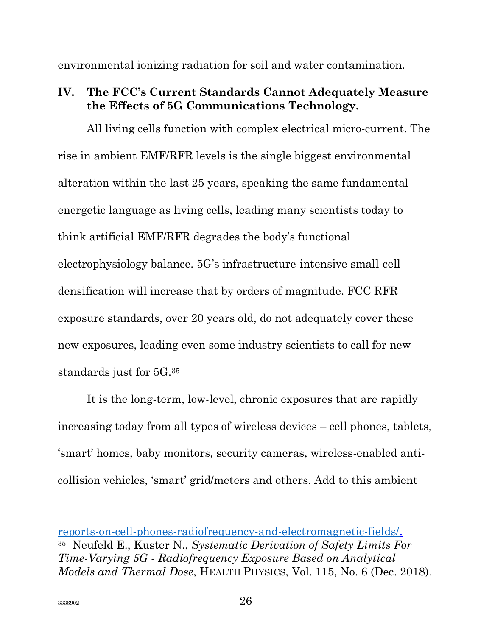environmental ionizing radiation for soil and water contamination.

# IV. The FCC's Current Standards Cannot Adequately Measure the Effects of 5G Communications Technology.

All living cells function with complex electrical micro-current. The rise in ambient EMF/RFR levels is the single biggest environmental alteration within the last 25 years, speaking the same fundamental energetic language as living cells, leading many scientists today to think artificial EMF/RFR degrades the body's functional electrophysiology balance. 5G's infrastructure-intensive small-cell densification will increase that by orders of magnitude. FCC RFR exposure standards, over 20 years old, do not adequately cover these new exposures, leading even some industry scientists to call for new standards just for 5G.<sup>35</sup>

It is the long-term, low-level, chronic exposures that are rapidly increasing today from all types of wireless devices – cell phones, tablets, 'smart' homes, baby monitors, security cameras, wireless-enabled anticollision vehicles, 'smart' grid/meters and others. Add to this ambient

reports-on-cell-phones-radiofrequency-and-electromagnetic-fields/. <sup>35</sup> Neufeld E., Kuster N., Systematic Derivation of Safety Limits For Time-Varying 5G - Radiofrequency Exposure Based on Analytical Models and Thermal Dose, HEALTH PHYSICS, Vol. 115, No. 6 (Dec. 2018).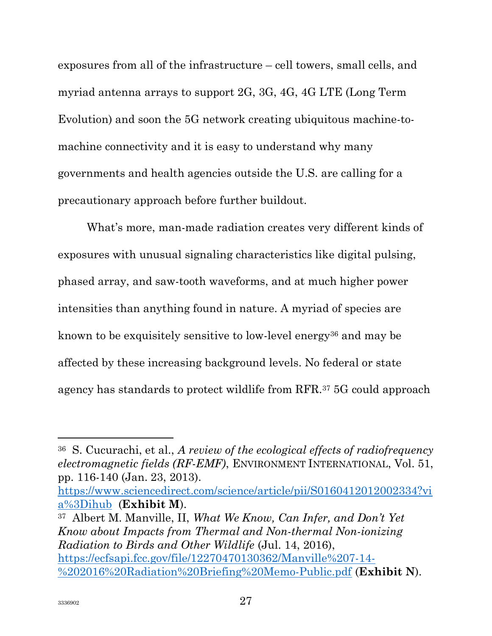exposures from all of the infrastructure – cell towers, small cells, and myriad antenna arrays to support 2G, 3G, 4G, 4G LTE (Long Term Evolution) and soon the 5G network creating ubiquitous machine-tomachine connectivity and it is easy to understand why many governments and health agencies outside the U.S. are calling for a precautionary approach before further buildout.

What's more, man-made radiation creates very different kinds of exposures with unusual signaling characteristics like digital pulsing, phased array, and saw-tooth waveforms, and at much higher power intensities than anything found in nature. A myriad of species are known to be exquisitely sensitive to low-level energy<sup>36</sup> and may be affected by these increasing background levels. No federal or state agency has standards to protect wildlife from RFR.37 5G could approach

https://www.sciencedirect.com/science/article/pii/S0160412012002334?vi a%3Dihub (Exhibit M).

<sup>37</sup> Albert M. Manville, II, What We Know, Can Infer, and Don't Yet Know about Impacts from Thermal and Non-thermal Non-ionizing Radiation to Birds and Other Wildlife (Jul. 14, 2016), https://ecfsapi.fcc.gov/file/12270470130362/Manville%207-14- %202016%20Radiation%20Briefing%20Memo-Public.pdf (Exhibit N).

<sup>36</sup> S. Cucurachi, et al., A review of the ecological effects of radiofrequency electromagnetic fields (RF-EMF), ENVIRONMENT INTERNATIONAL, Vol. 51, pp. 116-140 (Jan. 23, 2013).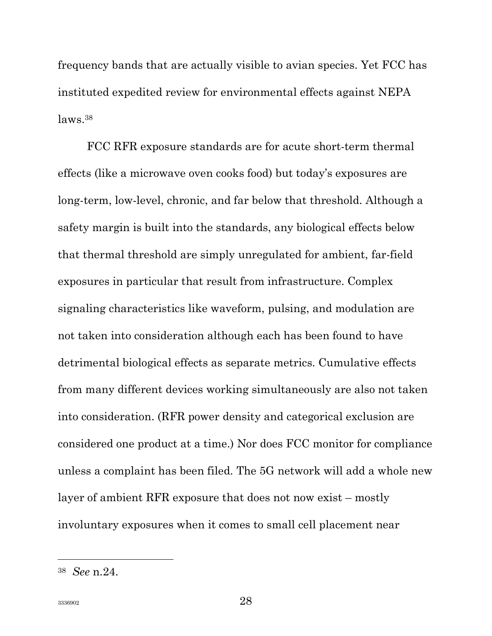frequency bands that are actually visible to avian species. Yet FCC has instituted expedited review for environmental effects against NEPA laws.<sup>38</sup>

FCC RFR exposure standards are for acute short-term thermal effects (like a microwave oven cooks food) but today's exposures are long-term, low-level, chronic, and far below that threshold. Although a safety margin is built into the standards, any biological effects below that thermal threshold are simply unregulated for ambient, far-field exposures in particular that result from infrastructure. Complex signaling characteristics like waveform, pulsing, and modulation are not taken into consideration although each has been found to have detrimental biological effects as separate metrics. Cumulative effects from many different devices working simultaneously are also not taken into consideration. (RFR power density and categorical exclusion are considered one product at a time.) Nor does FCC monitor for compliance unless a complaint has been filed. The 5G network will add a whole new layer of ambient RFR exposure that does not now exist – mostly involuntary exposures when it comes to small cell placement near

<sup>38</sup> See n.24.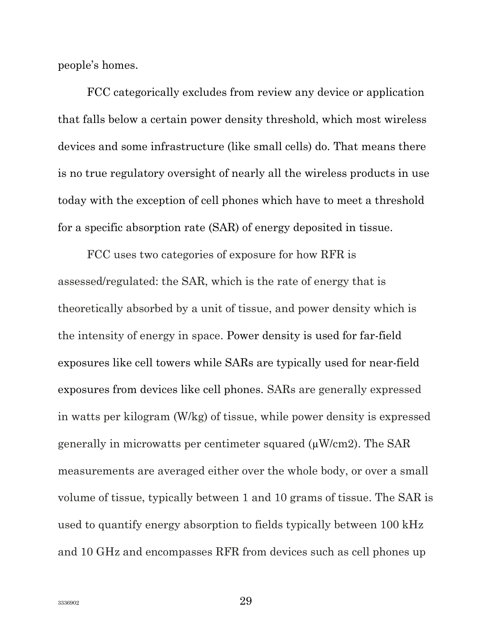people's homes.

FCC categorically excludes from review any device or application that falls below a certain power density threshold, which most wireless devices and some infrastructure (like small cells) do. That means there is no true regulatory oversight of nearly all the wireless products in use today with the exception of cell phones which have to meet a threshold for a specific absorption rate (SAR) of energy deposited in tissue.

FCC uses two categories of exposure for how RFR is assessed/regulated: the SAR, which is the rate of energy that is theoretically absorbed by a unit of tissue, and power density which is the intensity of energy in space. Power density is used for far-field exposures like cell towers while SARs are typically used for near-field exposures from devices like cell phones. SARs are generally expressed in watts per kilogram (W/kg) of tissue, while power density is expressed generally in microwatts per centimeter squared  $(\mu W/cm2)$ . The SAR measurements are averaged either over the whole body, or over a small volume of tissue, typically between 1 and 10 grams of tissue. The SAR is used to quantify energy absorption to fields typically between 100 kHz and 10 GHz and encompasses RFR from devices such as cell phones up

3336902 29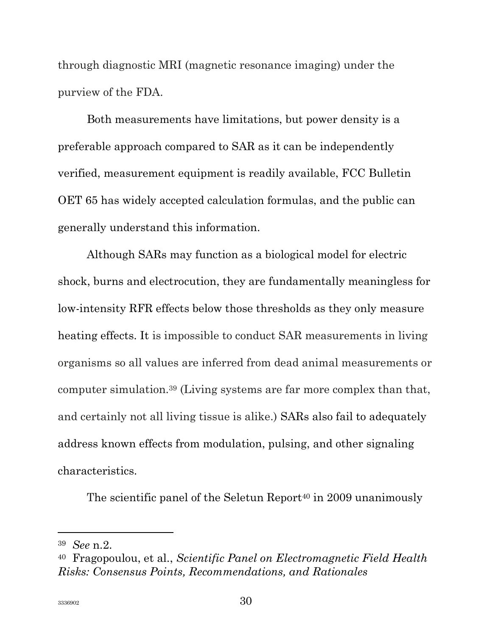through diagnostic MRI (magnetic resonance imaging) under the purview of the FDA.

Both measurements have limitations, but power density is a preferable approach compared to SAR as it can be independently verified, measurement equipment is readily available, FCC Bulletin OET 65 has widely accepted calculation formulas, and the public can generally understand this information.

Although SARs may function as a biological model for electric shock, burns and electrocution, they are fundamentally meaningless for low-intensity RFR effects below those thresholds as they only measure heating effects. It is impossible to conduct SAR measurements in living organisms so all values are inferred from dead animal measurements or computer simulation.39 (Living systems are far more complex than that, and certainly not all living tissue is alike.) SARs also fail to adequately address known effects from modulation, pulsing, and other signaling characteristics.

The scientific panel of the Seletun Report<sup>40</sup> in 2009 unanimously

l

<sup>39</sup> See n.2.

<sup>40</sup> Fragopoulou, et al., Scientific Panel on Electromagnetic Field Health Risks: Consensus Points, Recommendations, and Rationales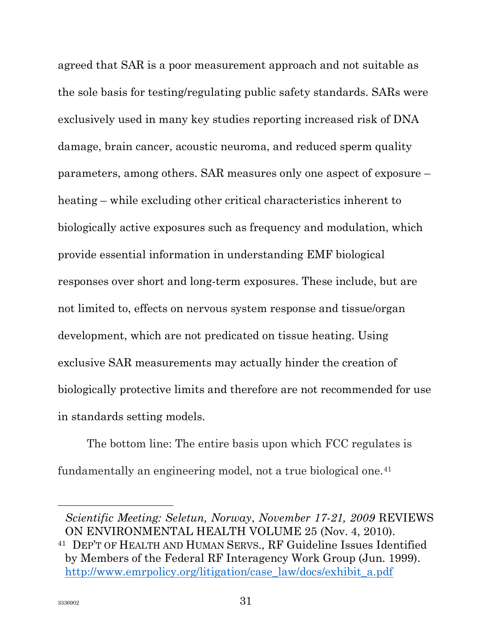agreed that SAR is a poor measurement approach and not suitable as the sole basis for testing/regulating public safety standards. SARs were exclusively used in many key studies reporting increased risk of DNA damage, brain cancer, acoustic neuroma, and reduced sperm quality parameters, among others. SAR measures only one aspect of exposure – heating – while excluding other critical characteristics inherent to biologically active exposures such as frequency and modulation, which provide essential information in understanding EMF biological responses over short and long-term exposures. These include, but are not limited to, effects on nervous system response and tissue/organ development, which are not predicated on tissue heating. Using exclusive SAR measurements may actually hinder the creation of biologically protective limits and therefore are not recommended for use in standards setting models.

The bottom line: The entire basis upon which FCC regulates is fundamentally an engineering model, not a true biological one.<sup>41</sup>

Scientific Meeting: Seletun, Norway, November 17-21, 2009 REVIEWS ON ENVIRONMENTAL HEALTH VOLUME 25 (Nov. 4, 2010).

<sup>41</sup> DEP'T OF HEALTH AND HUMAN SERVS., RF Guideline Issues Identified by Members of the Federal RF Interagency Work Group (Jun. 1999). http://www.emrpolicy.org/litigation/case\_law/docs/exhibit\_a.pdf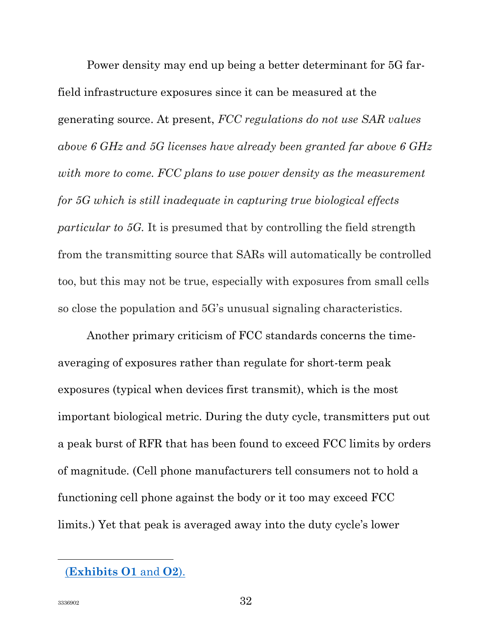Power density may end up being a better determinant for 5G farfield infrastructure exposures since it can be measured at the generating source. At present, FCC regulations do not use SAR values above 6 GHz and 5G licenses have already been granted far above 6 GHz with more to come. FCC plans to use power density as the measurement for 5G which is still inadequate in capturing true biological effects particular to 5G. It is presumed that by controlling the field strength from the transmitting source that SARs will automatically be controlled too, but this may not be true, especially with exposures from small cells so close the population and 5G's unusual signaling characteristics.

Another primary criticism of FCC standards concerns the timeaveraging of exposures rather than regulate for short-term peak exposures (typical when devices first transmit), which is the most important biological metric. During the duty cycle, transmitters put out a peak burst of RFR that has been found to exceed FCC limits by orders of magnitude. (Cell phone manufacturers tell consumers not to hold a functioning cell phone against the body or it too may exceed FCC limits.) Yet that peak is averaged away into the duty cycle's lower

<sup>(</sup>Exhibits O1 and O2).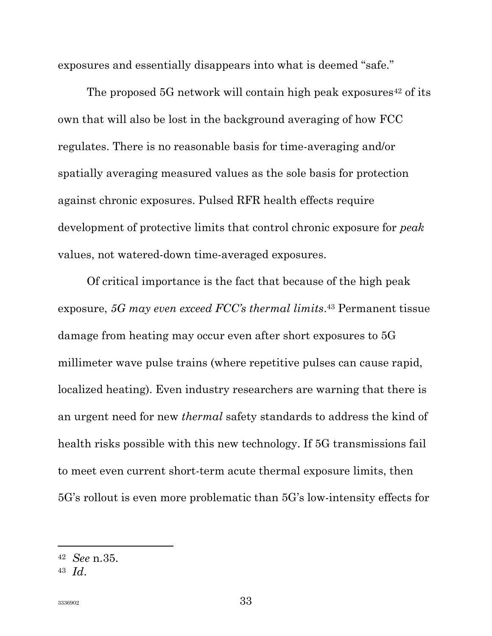exposures and essentially disappears into what is deemed "safe."

The proposed  $5G$  network will contain high peak exposures<sup>42</sup> of its own that will also be lost in the background averaging of how FCC regulates. There is no reasonable basis for time-averaging and/or spatially averaging measured values as the sole basis for protection against chronic exposures. Pulsed RFR health effects require development of protective limits that control chronic exposure for peak values, not watered-down time-averaged exposures.

Of critical importance is the fact that because of the high peak exposure, 5G may even exceed FCC's thermal limits.<sup>43</sup> Permanent tissue damage from heating may occur even after short exposures to 5G millimeter wave pulse trains (where repetitive pulses can cause rapid, localized heating). Even industry researchers are warning that there is an urgent need for new thermal safety standards to address the kind of health risks possible with this new technology. If 5G transmissions fail to meet even current short-term acute thermal exposure limits, then 5G's rollout is even more problematic than 5G's low-intensity effects for

<sup>42</sup> See n.35.

 $43$   $Id$ .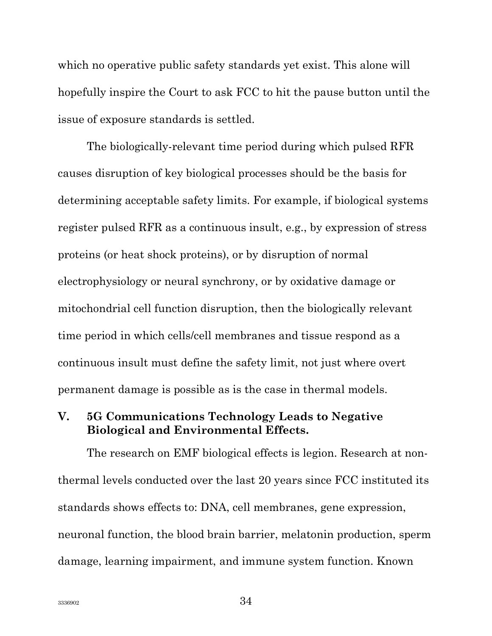which no operative public safety standards yet exist. This alone will hopefully inspire the Court to ask FCC to hit the pause button until the issue of exposure standards is settled.

The biologically-relevant time period during which pulsed RFR causes disruption of key biological processes should be the basis for determining acceptable safety limits. For example, if biological systems register pulsed RFR as a continuous insult, e.g., by expression of stress proteins (or heat shock proteins), or by disruption of normal electrophysiology or neural synchrony, or by oxidative damage or mitochondrial cell function disruption, then the biologically relevant time period in which cells/cell membranes and tissue respond as a continuous insult must define the safety limit, not just where overt permanent damage is possible as is the case in thermal models.

#### V. 5G Communications Technology Leads to Negative Biological and Environmental Effects.

The research on EMF biological effects is legion. Research at nonthermal levels conducted over the last 20 years since FCC instituted its standards shows effects to: DNA, cell membranes, gene expression, neuronal function, the blood brain barrier, melatonin production, sperm damage, learning impairment, and immune system function. Known

3336902  $34$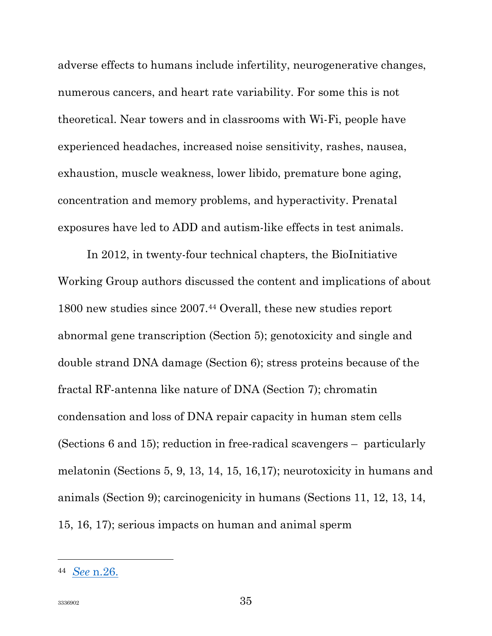adverse effects to humans include infertility, neurogenerative changes, numerous cancers, and heart rate variability. For some this is not theoretical. Near towers and in classrooms with Wi-Fi, people have experienced headaches, increased noise sensitivity, rashes, nausea, exhaustion, muscle weakness, lower libido, premature bone aging, concentration and memory problems, and hyperactivity. Prenatal exposures have led to ADD and autism-like effects in test animals.

In 2012, in twenty-four technical chapters, the BioInitiative Working Group authors discussed the content and implications of about 1800 new studies since 2007.44 Overall, these new studies report abnormal gene transcription (Section 5); genotoxicity and single and double strand DNA damage (Section 6); stress proteins because of the fractal RF-antenna like nature of DNA (Section 7); chromatin condensation and loss of DNA repair capacity in human stem cells (Sections 6 and 15); reduction in free-radical scavengers – particularly melatonin (Sections 5, 9, 13, 14, 15, 16,17); neurotoxicity in humans and animals (Section 9); carcinogenicity in humans (Sections 11, 12, 13, 14, 15, 16, 17); serious impacts on human and animal sperm

<sup>44</sup> See n.26.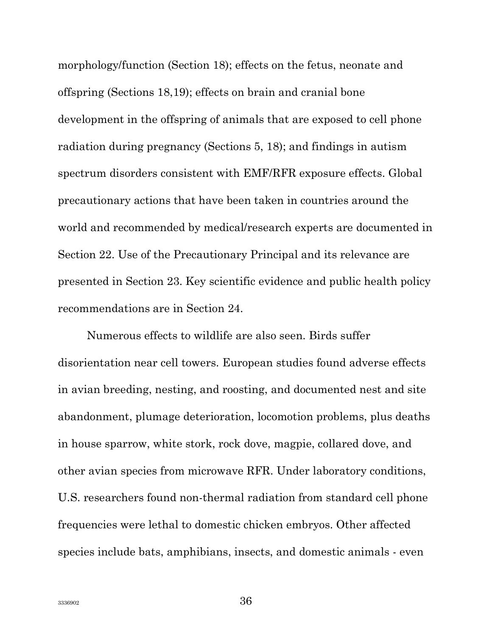morphology/function (Section 18); effects on the fetus, neonate and offspring (Sections 18,19); effects on brain and cranial bone development in the offspring of animals that are exposed to cell phone radiation during pregnancy (Sections 5, 18); and findings in autism spectrum disorders consistent with EMF/RFR exposure effects. Global precautionary actions that have been taken in countries around the world and recommended by medical/research experts are documented in Section 22. Use of the Precautionary Principal and its relevance are presented in Section 23. Key scientific evidence and public health policy recommendations are in Section 24.

Numerous effects to wildlife are also seen. Birds suffer disorientation near cell towers. European studies found adverse effects in avian breeding, nesting, and roosting, and documented nest and site abandonment, plumage deterioration, locomotion problems, plus deaths in house sparrow, white stork, rock dove, magpie, collared dove, and other avian species from microwave RFR. Under laboratory conditions, U.S. researchers found non-thermal radiation from standard cell phone frequencies were lethal to domestic chicken embryos. Other affected species include bats, amphibians, insects, and domestic animals - even

3336902 **336902**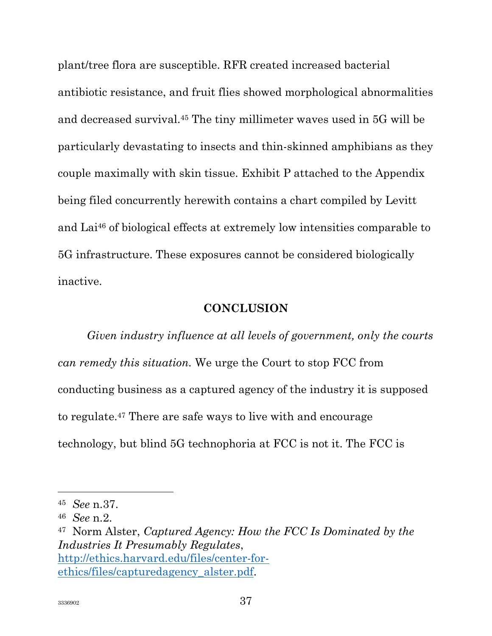plant/tree flora are susceptible. RFR created increased bacterial antibiotic resistance, and fruit flies showed morphological abnormalities and decreased survival.45 The tiny millimeter waves used in 5G will be particularly devastating to insects and thin-skinned amphibians as they couple maximally with skin tissue. Exhibit P attached to the Appendix being filed concurrently herewith contains a chart compiled by Levitt and Lai46 of biological effects at extremely low intensities comparable to 5G infrastructure. These exposures cannot be considered biologically inactive.

#### **CONCLUSION**

Given industry influence at all levels of government, only the courts can remedy this situation. We urge the Court to stop FCC from conducting business as a captured agency of the industry it is supposed to regulate.47 There are safe ways to live with and encourage technology, but blind 5G technophoria at FCC is not it. The FCC is

<sup>45</sup> See n.37.

<sup>46</sup> See n.2.

 $47$  Norm Alster, Captured Agency: How the FCC Is Dominated by the Industries It Presumably Regulates, http://ethics.harvard.edu/files/center-forethics/files/capturedagency\_alster.pdf.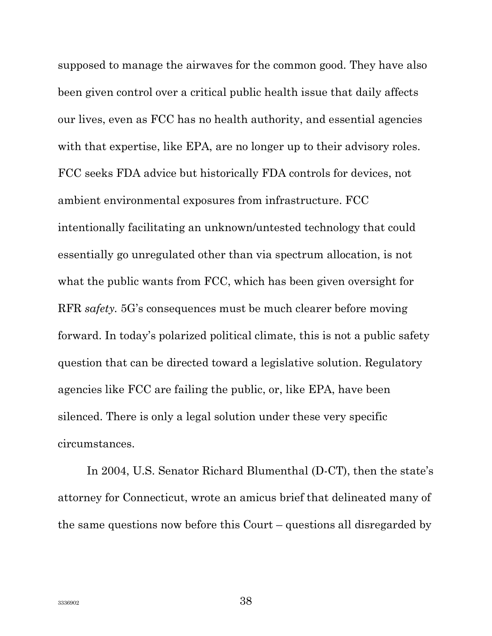supposed to manage the airwaves for the common good. They have also been given control over a critical public health issue that daily affects our lives, even as FCC has no health authority, and essential agencies with that expertise, like EPA, are no longer up to their advisory roles. FCC seeks FDA advice but historically FDA controls for devices, not ambient environmental exposures from infrastructure. FCC intentionally facilitating an unknown/untested technology that could essentially go unregulated other than via spectrum allocation, is not what the public wants from FCC, which has been given oversight for RFR safety. 5G's consequences must be much clearer before moving forward. In today's polarized political climate, this is not a public safety question that can be directed toward a legislative solution. Regulatory agencies like FCC are failing the public, or, like EPA, have been silenced. There is only a legal solution under these very specific circumstances.

In 2004, U.S. Senator Richard Blumenthal (D-CT), then the state's attorney for Connecticut, wrote an amicus brief that delineated many of the same questions now before this Court – questions all disregarded by

 $3336902$   $38$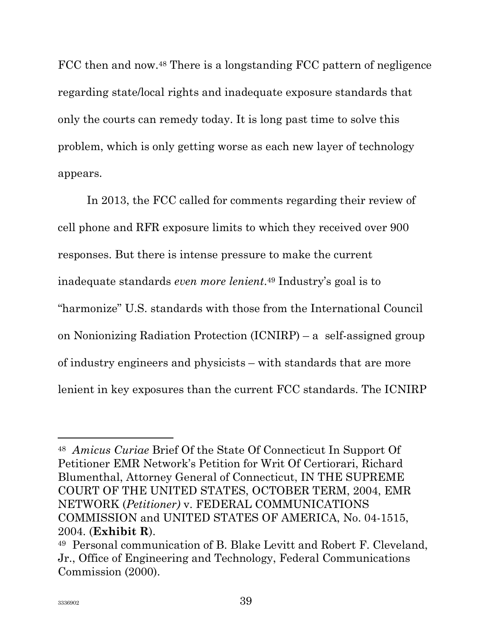FCC then and now.<sup>48</sup> There is a longstanding FCC pattern of negligence regarding state/local rights and inadequate exposure standards that only the courts can remedy today. It is long past time to solve this problem, which is only getting worse as each new layer of technology appears.

In 2013, the FCC called for comments regarding their review of cell phone and RFR exposure limits to which they received over 900 responses. But there is intense pressure to make the current inadequate standards even more lenient. <sup>49</sup> Industry's goal is to "harmonize" U.S. standards with those from the International Council on Nonionizing Radiation Protection (ICNIRP) – a self-assigned group of industry engineers and physicists – with standards that are more lenient in key exposures than the current FCC standards. The ICNIRP

<sup>48</sup> Amicus Curiae Brief Of the State Of Connecticut In Support Of Petitioner EMR Network's Petition for Writ Of Certiorari, Richard Blumenthal, Attorney General of Connecticut, IN THE SUPREME COURT OF THE UNITED STATES, OCTOBER TERM, 2004, EMR NETWORK (Petitioner) v. FEDERAL COMMUNICATIONS COMMISSION and UNITED STATES OF AMERICA, No. 04-1515, 2004. (Exhibit R).

<sup>49</sup> Personal communication of B. Blake Levitt and Robert F. Cleveland, Jr., Office of Engineering and Technology, Federal Communications Commission (2000).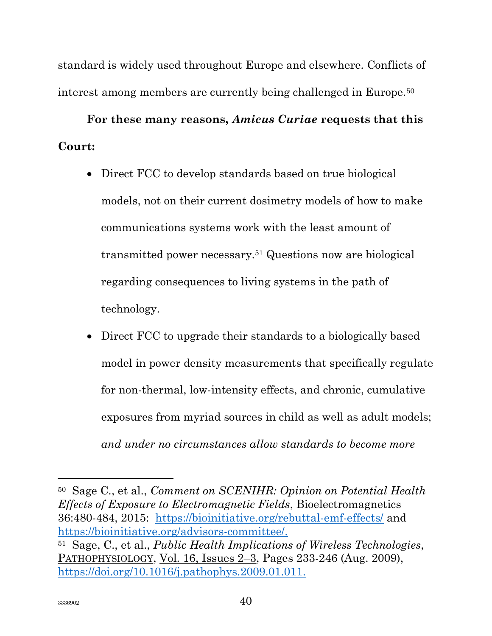standard is widely used throughout Europe and elsewhere. Conflicts of interest among members are currently being challenged in Europe.<sup>50</sup>

# For these many reasons, Amicus Curiae requests that this Court:

- Direct FCC to develop standards based on true biological models, not on their current dosimetry models of how to make communications systems work with the least amount of transmitted power necessary.51 Questions now are biological regarding consequences to living systems in the path of technology.
- Direct FCC to upgrade their standards to a biologically based model in power density measurements that specifically regulate for non-thermal, low-intensity effects, and chronic, cumulative exposures from myriad sources in child as well as adult models; and under no circumstances allow standards to become more

<sup>50</sup> Sage C., et al., Comment on SCENIHR: Opinion on Potential Health Effects of Exposure to Electromagnetic Fields, Bioelectromagnetics 36:480-484, 2015: https://bioinitiative.org/rebuttal-emf-effects/ and https://bioinitiative.org/advisors-committee/. <sup>51</sup> Sage, C., et al., Public Health Implications of Wireless Technologies, PATHOPHYSIOLOGY, Vol. 16, Issues 2–3, Pages 233-246 (Aug. 2009), https://doi.org/10.1016/j.pathophys.2009.01.011.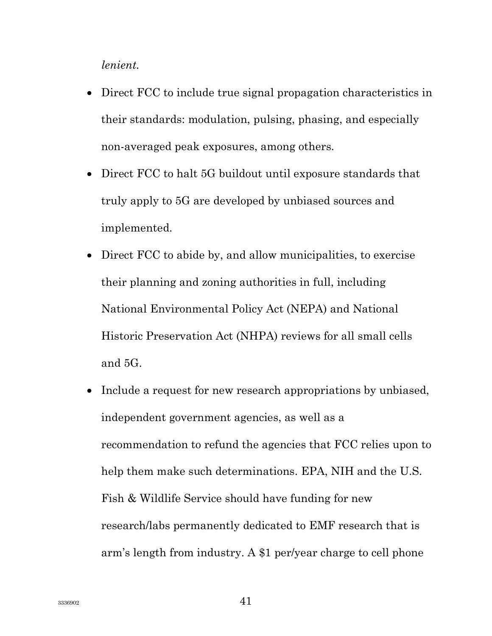lenient.

- Direct FCC to include true signal propagation characteristics in their standards: modulation, pulsing, phasing, and especially non-averaged peak exposures, among others.
- Direct FCC to halt 5G buildout until exposure standards that truly apply to 5G are developed by unbiased sources and implemented.
- Direct FCC to abide by, and allow municipalities, to exercise their planning and zoning authorities in full, including National Environmental Policy Act (NEPA) and National Historic Preservation Act (NHPA) reviews for all small cells and 5G.
- Include a request for new research appropriations by unbiased, independent government agencies, as well as a recommendation to refund the agencies that FCC relies upon to help them make such determinations. EPA, NIH and the U.S. Fish & Wildlife Service should have funding for new research/labs permanently dedicated to EMF research that is arm's length from industry. A \$1 per/year charge to cell phone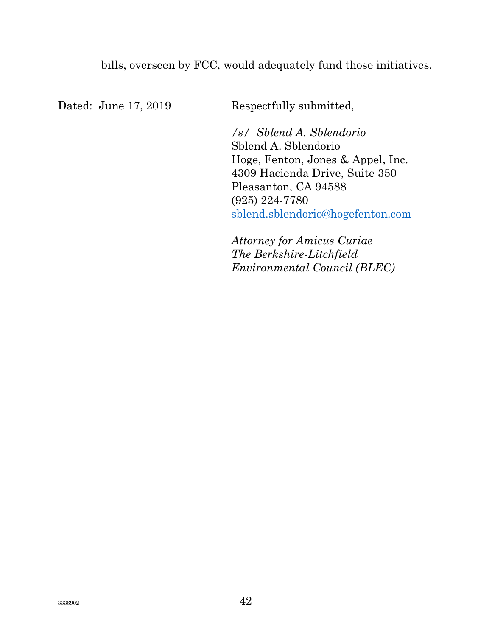bills, overseen by FCC, would adequately fund those initiatives.

Dated: June 17, 2019 Respectfully submitted,

/s/ Sblend A. Sblendorio Sblend A. Sblendorio Hoge, Fenton, Jones & Appel, Inc. 4309 Hacienda Drive, Suite 350 Pleasanton, CA 94588 (925) 224-7780 sblend.sblendorio@hogefenton.com

Attorney for Amicus Curiae The Berkshire-Litchfield Environmental Council (BLEC)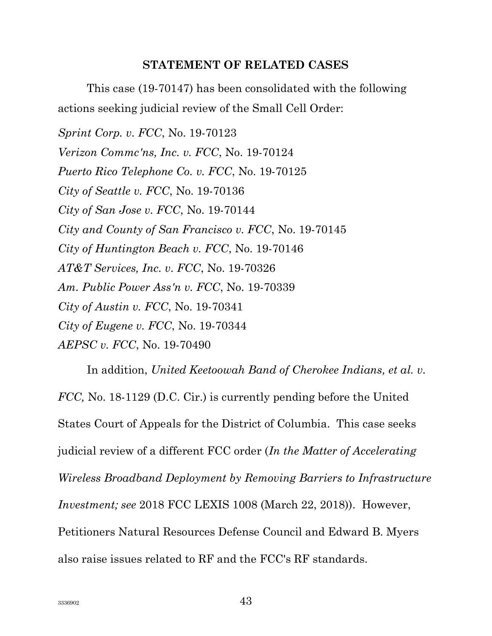#### STATEMENT OF RELATED CASES

This case (19-70147) has been consolidated with the following actions seeking judicial review of the Small Cell Order:

Sprint Corp. v. FCC, No. 19-70123 Verizon Commc'ns, Inc. v. FCC, No. 19-70124 Puerto Rico Telephone Co. v. FCC, No. 19-70125 City of Seattle v. FCC, No. 19-70136 City of San Jose v. FCC, No. 19-70144 City and County of San Francisco v. FCC, No. 19-70145 City of Huntington Beach v. FCC, No. 19-70146 AT&T Services, Inc. v. FCC, No. 19-70326 Am. Public Power Ass'n v. FCC, No. 19-70339 City of Austin v. FCC, No. 19-70341 City of Eugene v. FCC, No. 19-70344 AEPSC v. FCC, No. 19-70490

In addition, United Keetoowah Band of Cherokee Indians, et al. v. FCC, No. 18-1129 (D.C. Cir.) is currently pending before the United States Court of Appeals for the District of Columbia. This case seeks judicial review of a different FCC order (In the Matter of Accelerating Wireless Broadband Deployment by Removing Barriers to Infrastructure Investment; see 2018 FCC LEXIS 1008 (March 22, 2018)). However, Petitioners Natural Resources Defense Council and Edward B. Myers also raise issues related to RF and the FCC's RF standards.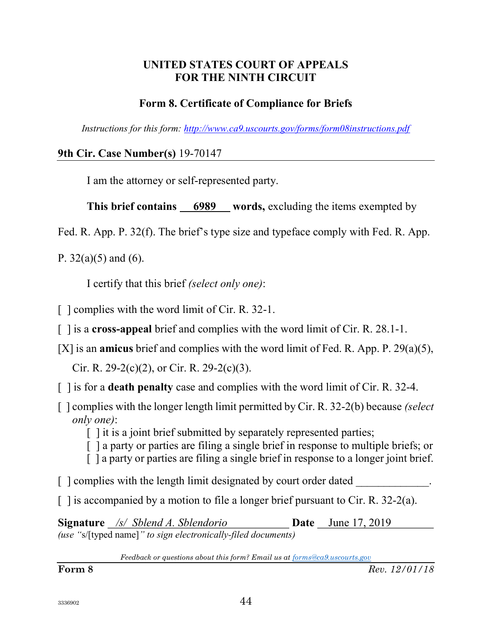#### UNITED STATES COURT OF APPEALS FOR THE NINTH CIRCUIT

#### Form 8. Certificate of Compliance for Briefs

Instructions for this form: http://www.ca9.uscourts.gov/forms/form08instructions.pdf

9th Cir. Case Number(s) 19-70147

I am the attorney or self-represented party.

This brief contains 6989 words, excluding the items exempted by

Fed. R. App. P. 32(f). The brief's type size and typeface comply with Fed. R. App.

P.  $32(a)(5)$  and  $(6)$ .

I certify that this brief (select only one):

[ ] complies with the word limit of Cir. R. 32-1.

[ ] is a cross-appeal brief and complies with the word limit of Cir. R. 28.1-1.

[X] is an amicus brief and complies with the word limit of Fed. R. App. P. 29(a)(5),

Cir. R. 29-2(c)(2), or Cir. R. 29-2(c)(3).

- $\lceil$  1 is for a **death penalty** case and complies with the word limit of Cir. R. 32-4.
- $\lceil$  1 complies with the longer length limit permitted by Cir. R. 32-2(b) because *(select*) only one):

 $\lceil \cdot \rceil$  it is a joint brief submitted by separately represented parties;

[ ] a party or parties are filing a single brief in response to multiple briefs; or

[ ] a party or parties are filing a single brief in response to a longer joint brief.

 $\lceil$  | complies with the length limit designated by court order dated

 $\lceil$  1 is accompanied by a motion to file a longer brief pursuant to Cir. R. 32-2(a).

Signature /s/ Sblend A. Sblendorio **Date** June 17, 2019 (use "s/[typed name]" to sign electronically-filed documents)

Feedback or questions about this form? Email us at forms@ca9.uscourts.gov

**Form 8** Rev. 12/01/18